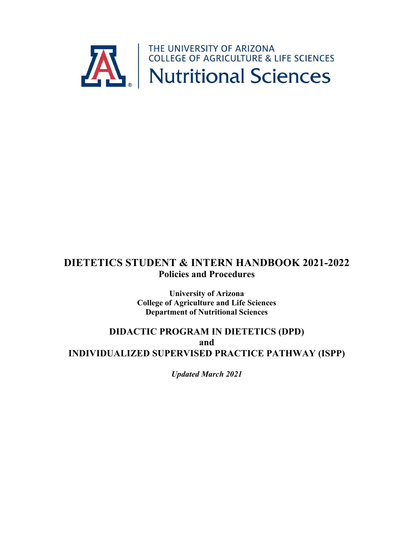

# **DIETETICS STUDENT & INTERN HANDBOOK 2021-2022 Policies and Procedures**

**University of Arizona College of Agriculture and Life Sciences Department of Nutritional Sciences**

# **DIDACTIC PROGRAM IN DIETETICS (DPD) and INDIVIDUALIZED SUPERVISED PRACTICE PATHWAY (ISPP)**

*Updated March 2021*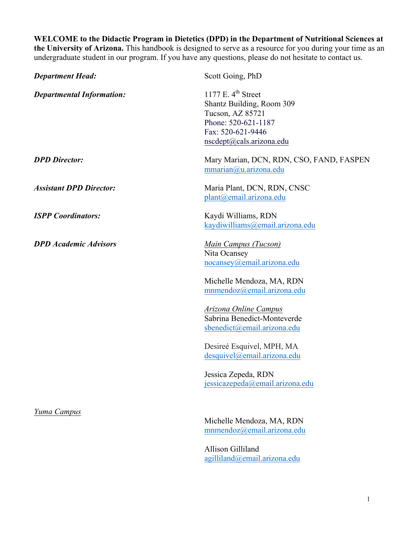**WELCOME to the Didactic Program in Dietetics (DPD) in the Department of Nutritional Sciences at the University of Arizona.** This handbook is designed to serve as a resource for you during your time as an undergraduate student in our program. If you have any questions, please do not hesitate to contact us.

| <b>Department Head:</b>          | Scott Going, PhD                                                                                                                              |
|----------------------------------|-----------------------------------------------------------------------------------------------------------------------------------------------|
| <b>Departmental Information:</b> | 1177 E. $4th$ Street<br>Shantz Building, Room 309<br>Tucson, AZ 85721<br>Phone: 520-621-1187<br>Fax: 520-621-9446<br>nscdept@cals.arizona.edu |
| <b>DPD</b> Director:             | Mary Marian, DCN, RDN, CSO, FAND, FASPEN<br>mmarian@u.arizona.edu                                                                             |
| <b>Assistant DPD Director:</b>   | Maria Plant, DCN, RDN, CNSC<br>plant@email.arizona.edu                                                                                        |
| <b>ISPP</b> Coordinators:        | Kaydi Williams, RDN<br>kaydiwilliams@email.arizona.edu                                                                                        |
| <b>DPD</b> Academic Advisors     | <b>Main Campus (Tucson)</b><br>Nita Ocansey<br>nocansey@email.arizona.edu<br>Michelle Mendoza, MA, RDN<br>mnmendoz@email.arizona.edu          |
|                                  | Arizona Online Campus<br>Sabrina Benedict-Monteverde<br>sbenedict@email.arizona.edu                                                           |
|                                  | Desireé Esquivel, MPH, MA<br>desquivel@email.arizona.edu<br>Jessica Zepeda, RDN                                                               |
|                                  | jessicazepeda@email.arizona.edu                                                                                                               |
| Yuma Campus                      | Michelle Mendoza, MA, RDN<br>mnmendoz@email.arizona.edu                                                                                       |

Allison Gilliland agilliland@email.arizona.edu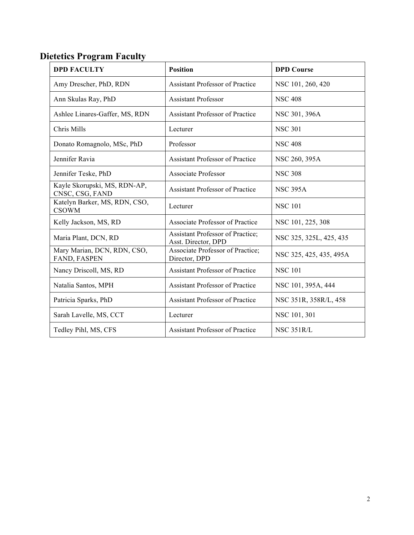# **Dietetics Program Faculty**

| <b>DPD FACULTY</b>                              | <b>Position</b>                                          | <b>DPD Course</b>       |
|-------------------------------------------------|----------------------------------------------------------|-------------------------|
| Amy Drescher, PhD, RDN                          | <b>Assistant Professor of Practice</b>                   | NSC 101, 260, 420       |
| Ann Skulas Ray, PhD                             | <b>Assistant Professor</b>                               | <b>NSC 408</b>          |
| Ashlee Linares-Gaffer, MS, RDN                  | <b>Assistant Professor of Practice</b>                   | NSC 301, 396A           |
| Chris Mills                                     | Lecturer                                                 | <b>NSC 301</b>          |
| Donato Romagnolo, MSc, PhD                      | Professor                                                | <b>NSC 408</b>          |
| Jennifer Ravia                                  | <b>Assistant Professor of Practice</b>                   | NSC 260, 395A           |
| Jennifer Teske, PhD                             | <b>Associate Professor</b>                               | <b>NSC 308</b>          |
| Kayle Skorupski, MS, RDN-AP,<br>CNSC, CSG, FAND | Assistant Professor of Practice                          | <b>NSC 395A</b>         |
| Katelyn Barker, MS, RDN, CSO,<br><b>CSOWM</b>   | Lecturer                                                 | <b>NSC 101</b>          |
| Kelly Jackson, MS, RD                           | <b>Associate Professor of Practice</b>                   | NSC 101, 225, 308       |
| Maria Plant, DCN, RD                            | Assistant Professor of Practice;<br>Asst. Director, DPD  | NSC 325, 325L, 425, 435 |
| Mary Marian, DCN, RDN, CSO,<br>FAND, FASPEN     | <b>Associate Professor of Practice;</b><br>Director, DPD | NSC 325, 425, 435, 495A |
| Nancy Driscoll, MS, RD                          | <b>Assistant Professor of Practice</b>                   | <b>NSC 101</b>          |
| Natalia Santos, MPH                             | <b>Assistant Professor of Practice</b>                   | NSC 101, 395A, 444      |
| Patricia Sparks, PhD                            | <b>Assistant Professor of Practice</b>                   | NSC 351R, 358R/L, 458   |
| Sarah Lavelle, MS, CCT                          | Lecturer                                                 | NSC 101, 301            |
| Tedley Pihl, MS, CFS                            | <b>Assistant Professor of Practice</b>                   | <b>NSC 351R/L</b>       |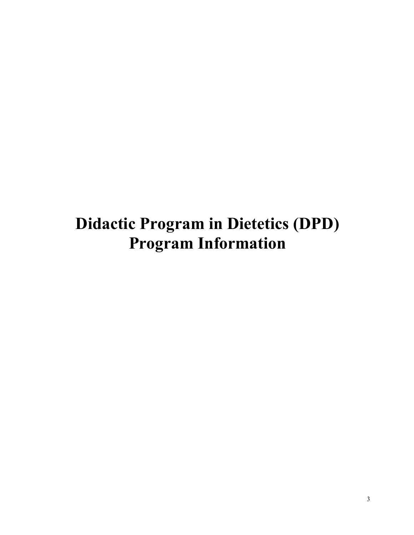# **Didactic Program in Dietetics (DPD) Program Information**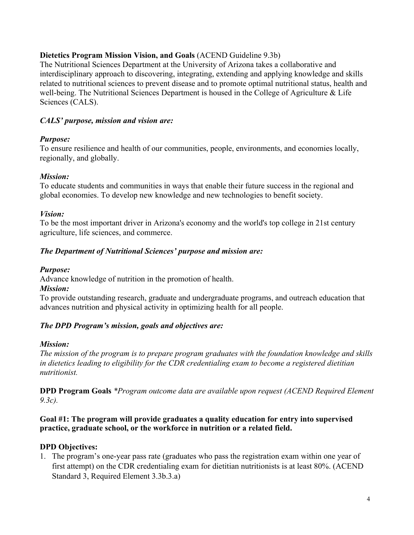# **Dietetics Program Mission Vision, and Goals** (ACEND Guideline 9.3b)

The Nutritional Sciences Department at the University of Arizona takes a collaborative and interdisciplinary approach to discovering, integrating, extending and applying knowledge and skills related to nutritional sciences to prevent disease and to promote optimal nutritional status, health and well-being. The Nutritional Sciences Department is housed in the College of Agriculture & Life Sciences (CALS).

# *CALS' purpose, mission and vision are:*

# *Purpose:*

To ensure resilience and health of our communities, people, environments, and economies locally, regionally, and globally.

# *Mission:*

To educate students and communities in ways that enable their future success in the regional and global economies. To develop new knowledge and new technologies to benefit society.

#### *Vision:*

To be the most important driver in Arizona's economy and the world's top college in 21st century agriculture, life sciences, and commerce.

# *The Department of Nutritional Sciences' purpose and mission are:*

# *Purpose:*

Advance knowledge of nutrition in the promotion of health.

#### *Mission:*

To provide outstanding research, graduate and undergraduate programs, and outreach education that advances nutrition and physical activity in optimizing health for all people.

# *The DPD Program's mission, goals and objectives are:*

#### *Mission:*

*The mission of the program is to prepare program graduates with the foundation knowledge and skills in dietetics leading to eligibility for the CDR credentialing exam to become a registered dietitian nutritionist.*

**DPD Program Goals** *\*Program outcome data are available upon request (ACEND Required Element 9.3c).*

#### **Goal #1: The program will provide graduates a quality education for entry into supervised practice, graduate school, or the workforce in nutrition or a related field.**

# **DPD Objectives:**

1. The program's one-year pass rate (graduates who pass the registration exam within one year of first attempt) on the CDR credentialing exam for dietitian nutritionists is at least 80%. (ACEND Standard 3, Required Element 3.3b.3.a)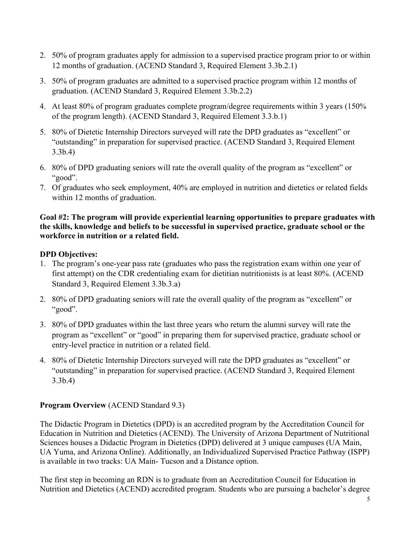- 2. 50% of program graduates apply for admission to a supervised practice program prior to or within 12 months of graduation. (ACEND Standard 3, Required Element 3.3b.2.1)
- 3. 50% of program graduates are admitted to a supervised practice program within 12 months of graduation. (ACEND Standard 3, Required Element 3.3b.2.2)
- 4. At least 80% of program graduates complete program/degree requirements within 3 years (150% of the program length). (ACEND Standard 3, Required Element 3.3.b.1)
- 5. 80% of Dietetic Internship Directors surveyed will rate the DPD graduates as "excellent" or "outstanding" in preparation for supervised practice. (ACEND Standard 3, Required Element 3.3b.4)
- 6. 80% of DPD graduating seniors will rate the overall quality of the program as "excellent" or "good".
- 7. Of graduates who seek employment, 40% are employed in nutrition and dietetics or related fields within 12 months of graduation.

#### **Goal #2: The program will provide experiential learning opportunities to prepare graduates with the skills, knowledge and beliefs to be successful in supervised practice, graduate school or the workforce in nutrition or a related field.**

# **DPD Objectives:**

- 1. The program's one-year pass rate (graduates who pass the registration exam within one year of first attempt) on the CDR credentialing exam for dietitian nutritionists is at least 80%. (ACEND Standard 3, Required Element 3.3b.3.a)
- 2. 80% of DPD graduating seniors will rate the overall quality of the program as "excellent" or "good".
- 3. 80% of DPD graduates within the last three years who return the alumni survey will rate the program as "excellent" or "good" in preparing them for supervised practice, graduate school or entry-level practice in nutrition or a related field.
- 4. 80% of Dietetic Internship Directors surveyed will rate the DPD graduates as "excellent" or "outstanding" in preparation for supervised practice. (ACEND Standard 3, Required Element 3.3b.4)

# **Program Overview** (ACEND Standard 9.3)

The Didactic Program in Dietetics (DPD) is an accredited program by the Accreditation Council for Education in Nutrition and Dietetics (ACEND). The University of Arizona Department of Nutritional Sciences houses a Didactic Program in Dietetics (DPD) delivered at 3 unique campuses (UA Main, UA Yuma, and Arizona Online). Additionally, an Individualized Supervised Practice Pathway (ISPP) is available in two tracks: UA Main- Tucson and a Distance option.

The first step in becoming an RDN is to graduate from an Accreditation Council for Education in Nutrition and Dietetics (ACEND) accredited program. Students who are pursuing a bachelor's degree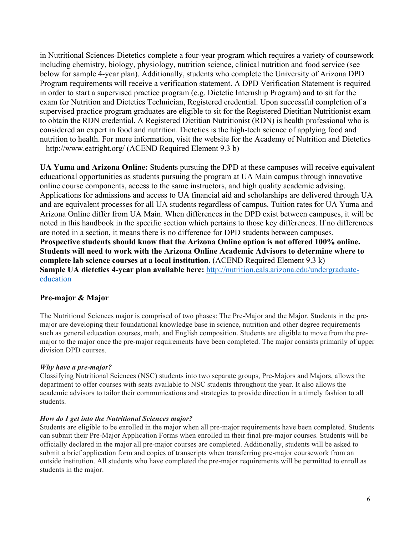in Nutritional Sciences-Dietetics complete a four-year program which requires a variety of coursework including chemistry, biology, physiology, nutrition science, clinical nutrition and food service (see below for sample 4-year plan). Additionally, students who complete the University of Arizona DPD Program requirements will receive a verification statement. A DPD Verification Statement is required in order to start a supervised practice program (e.g. Dietetic Internship Program) and to sit for the exam for Nutrition and Dietetics Technician, Registered credential. Upon successful completion of a supervised practice program graduates are eligible to sit for the Registered Dietitian Nutritionist exam to obtain the RDN credential. A Registered Dietitian Nutritionist (RDN) is health professional who is considered an expert in food and nutrition. Dietetics is the high-tech science of applying food and nutrition to health. For more information, visit the website for the Academy of Nutrition and Dietetics – http://www.eatright.org/ (ACEND Required Element 9.3 b)

**UA Yuma and Arizona Online:** Students pursuing the DPD at these campuses will receive equivalent educational opportunities as students pursuing the program at UA Main campus through innovative online course components, access to the same instructors, and high quality academic advising. Applications for admissions and access to UA financial aid and scholarships are delivered through UA and are equivalent processes for all UA students regardless of campus. Tuition rates for UA Yuma and Arizona Online differ from UA Main. When differences in the DPD exist between campuses, it will be noted in this handbook in the specific section which pertains to those key differences. If no differences are noted in a section, it means there is no difference for DPD students between campuses. **Prospective students should know that the Arizona Online option is not offered 100% online. Students will need to work with the Arizona Online Academic Advisors to determine where to complete lab science courses at a local institution.** (ACEND Required Element 9.3 k) **Sample UA dietetics 4-year plan available here:** http://nutrition.cals.arizona.edu/undergraduateeducation

#### **Pre-major & Major**

The Nutritional Sciences major is comprised of two phases: The Pre-Major and the Major. Students in the premajor are developing their foundational knowledge base in science, nutrition and other degree requirements such as general education courses, math, and English composition. Students are eligible to move from the premajor to the major once the pre-major requirements have been completed. The major consists primarily of upper division DPD courses.

#### *Why have a pre-major?*

Classifying Nutritional Sciences (NSC) students into two separate groups, Pre-Majors and Majors, allows the department to offer courses with seats available to NSC students throughout the year. It also allows the academic advisors to tailor their communications and strategies to provide direction in a timely fashion to all students.

#### *How do I get into the Nutritional Sciences major?*

Students are eligible to be enrolled in the major when all pre-major requirements have been completed. Students can submit their Pre-Major Application Forms when enrolled in their final pre-major courses. Students will be officially declared in the major all pre-major courses are completed. Additionally, students will be asked to submit a brief application form and copies of transcripts when transferring pre-major coursework from an outside institution. All students who have completed the pre-major requirements will be permitted to enroll as students in the major.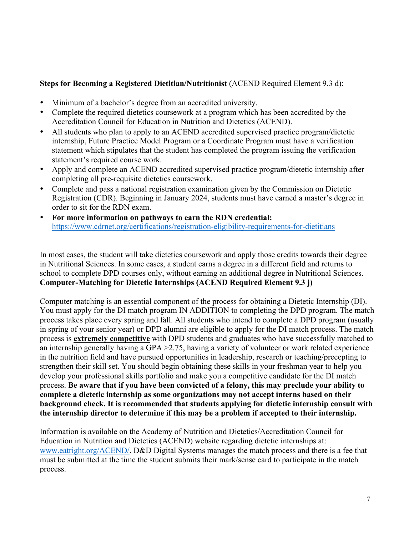# **Steps for Becoming a Registered Dietitian/Nutritionist** (ACEND Required Element 9.3 d):

- Minimum of a bachelor's degree from an accredited university.
- Complete the required dietetics coursework at a program which has been accredited by the Accreditation Council for Education in Nutrition and Dietetics (ACEND).
- All students who plan to apply to an ACEND accredited supervised practice program/dietetic internship, Future Practice Model Program or a Coordinate Program must have a verification statement which stipulates that the student has completed the program issuing the verification statement's required course work.
- Apply and complete an ACEND accredited supervised practice program/dietetic internship after completing all pre-requisite dietetics coursework.
- Complete and pass a national registration examination given by the Commission on Dietetic Registration (CDR). Beginning in January 2024, students must have earned a master's degree in order to sit for the RDN exam.
- **For more information on pathways to earn the RDN credential:** https://www.cdrnet.org/certifications/registration-eligibility-requirements-for-dietitians

In most cases, the student will take dietetics coursework and apply those credits towards their degree in Nutritional Sciences. In some cases, a student earns a degree in a different field and returns to school to complete DPD courses only, without earning an additional degree in Nutritional Sciences. **Computer-Matching for Dietetic Internships (ACEND Required Element 9.3 j)**

Computer matching is an essential component of the process for obtaining a Dietetic Internship (DI). You must apply for the DI match program IN ADDITION to completing the DPD program. The match process takes place every spring and fall. All students who intend to complete a DPD program (usually in spring of your senior year) or DPD alumni are eligible to apply for the DI match process. The match process is **extremely competitive** with DPD students and graduates who have successfully matched to an internship generally having a GPA >2.75, having a variety of volunteer or work related experience in the nutrition field and have pursued opportunities in leadership, research or teaching/precepting to strengthen their skill set. You should begin obtaining these skills in your freshman year to help you develop your professional skills portfolio and make you a competitive candidate for the DI match process. **Be aware that if you have been convicted of a felony, this may preclude your ability to complete a dietetic internship as some organizations may not accept interns based on their background check. It is recommended that students applying for dietetic internship consult with the internship director to determine if this may be a problem if accepted to their internship.** 

Information is available on the Academy of Nutrition and Dietetics/Accreditation Council for Education in Nutrition and Dietetics (ACEND) website regarding dietetic internships at: www.eatright.org/ACEND/. D&D Digital Systems manages the match process and there is a fee that must be submitted at the time the student submits their mark/sense card to participate in the match process.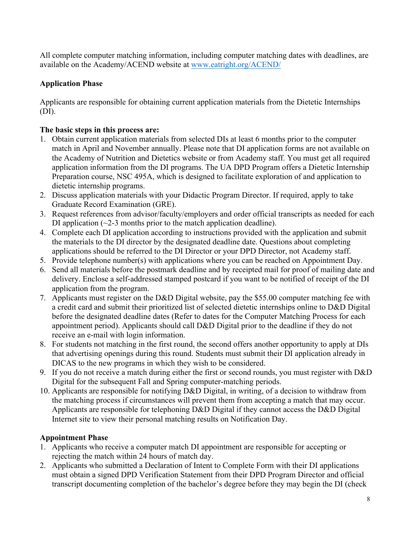All complete computer matching information, including computer matching dates with deadlines, are available on the Academy/ACEND website at www.eatright.org/ACEND/

# **Application Phase**

Applicants are responsible for obtaining current application materials from the Dietetic Internships (DI).

# **The basic steps in this process are:**

- 1. Obtain current application materials from selected DIs at least 6 months prior to the computer match in April and November annually. Please note that DI application forms are not available on the Academy of Nutrition and Dietetics website or from Academy staff. You must get all required application information from the DI programs. The UA DPD Program offers a Dietetic Internship Preparation course, NSC 495A, which is designed to facilitate exploration of and application to dietetic internship programs.
- 2. Discuss application materials with your Didactic Program Director. If required, apply to take Graduate Record Examination (GRE).
- 3. Request references from advisor/faculty/employers and order official transcripts as needed for each DI application  $(\sim 2-3$  months prior to the match application deadline).
- 4. Complete each DI application according to instructions provided with the application and submit the materials to the DI director by the designated deadline date. Questions about completing applications should be referred to the DI Director or your DPD Director, not Academy staff.
- 5. Provide telephone number(s) with applications where you can be reached on Appointment Day.
- 6. Send all materials before the postmark deadline and by receipted mail for proof of mailing date and delivery. Enclose a self-addressed stamped postcard if you want to be notified of receipt of the DI application from the program.
- 7. Applicants must register on the D&D Digital website, pay the \$55.00 computer matching fee with a credit card and submit their prioritized list of selected dietetic internships online to D&D Digital before the designated deadline dates (Refer to dates for the Computer Matching Process for each appointment period). Applicants should call D&D Digital prior to the deadline if they do not receive an e-mail with login information.
- 8. For students not matching in the first round, the second offers another opportunity to apply at DIs that advertising openings during this round. Students must submit their DI application already in DICAS to the new programs in which they wish to be considered.
- 9. If you do not receive a match during either the first or second rounds, you must register with D&D Digital for the subsequent Fall and Spring computer-matching periods.
- 10. Applicants are responsible for notifying D&D Digital, in writing, of a decision to withdraw from the matching process if circumstances will prevent them from accepting a match that may occur. Applicants are responsible for telephoning D&D Digital if they cannot access the D&D Digital Internet site to view their personal matching results on Notification Day.

#### **Appointment Phase**

- 1. Applicants who receive a computer match DI appointment are responsible for accepting or rejecting the match within 24 hours of match day.
- 2. Applicants who submitted a Declaration of Intent to Complete Form with their DI applications must obtain a signed DPD Verification Statement from their DPD Program Director and official transcript documenting completion of the bachelor's degree before they may begin the DI (check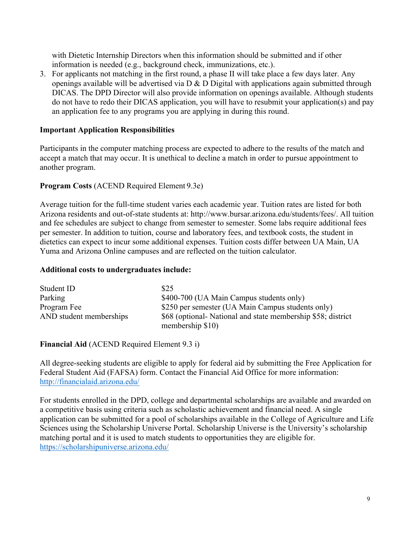with Dietetic Internship Directors when this information should be submitted and if other information is needed (e.g., background check, immunizations, etc.).

3. For applicants not matching in the first round, a phase II will take place a few days later. Any openings available will be advertised via  $D \& D$  Digital with applications again submitted through DICAS. The DPD Director will also provide information on openings available. Although students do not have to redo their DICAS application, you will have to resubmit your application(s) and pay an application fee to any programs you are applying in during this round.

#### **Important Application Responsibilities**

Participants in the computer matching process are expected to adhere to the results of the match and accept a match that may occur. It is unethical to decline a match in order to pursue appointment to another program.

#### **Program Costs** (ACEND Required Element 9.3e)

Average tuition for the full-time student varies each academic year. Tuition rates are listed for both Arizona residents and out-of-state students at: http://www.bursar.arizona.edu/students/fees/. All tuition and fee schedules are subject to change from semester to semester. Some labs require additional fees per semester. In addition to tuition, course and laboratory fees, and textbook costs, the student in dietetics can expect to incur some additional expenses. Tuition costs differ between UA Main, UA Yuma and Arizona Online campuses and are reflected on the tuition calculator.

#### **Additional costs to undergraduates include:**

| Student ID              | \$25                                                        |
|-------------------------|-------------------------------------------------------------|
| Parking                 | \$400-700 (UA Main Campus students only)                    |
| Program Fee             | \$250 per semester (UA Main Campus students only)           |
| AND student memberships | \$68 (optional-National and state membership \$58; district |
|                         | membership $$10)$                                           |

#### **Financial Aid** (ACEND Required Element 9.3 i)

All degree-seeking students are eligible to apply for federal aid by submitting the Free Application for Federal Student Aid (FAFSA) form. Contact the Financial Aid Office for more information: http://financialaid.arizona.edu/

For students enrolled in the DPD, college and departmental scholarships are available and awarded on a competitive basis using criteria such as scholastic achievement and financial need. A single application can be submitted for a pool of scholarships available in the College of Agriculture and Life Sciences using the Scholarship Universe Portal. Scholarship Universe is the University's scholarship matching portal and it is used to match students to opportunities they are eligible for. https://scholarshipuniverse.arizona.edu/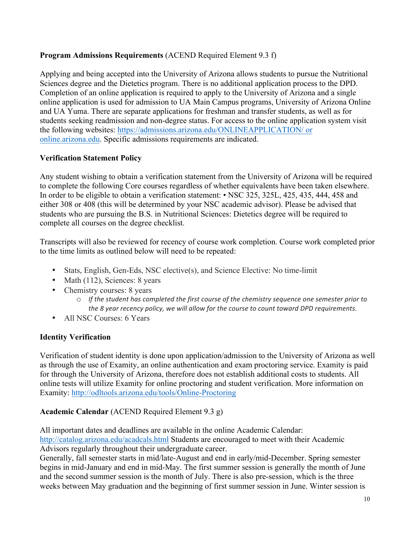# **Program Admissions Requirements** (ACEND Required Element 9.3 f)

Applying and being accepted into the University of Arizona allows students to pursue the Nutritional Sciences degree and the Dietetics program. There is no additional application process to the DPD. Completion of an online application is required to apply to the University of Arizona and a single online application is used for admission to UA Main Campus programs, University of Arizona Online and UA Yuma. There are separate applications for freshman and transfer students, as well as for students seeking readmission and non-degree status. For access to the online application system visit the following websites: https://admissions.arizona.edu/ONLINEAPPLICATION/ or online.arizona.edu. Specific admissions requirements are indicated.

#### **Verification Statement Policy**

Any student wishing to obtain a verification statement from the University of Arizona will be required to complete the following Core courses regardless of whether equivalents have been taken elsewhere. In order to be eligible to obtain a verification statement: • NSC 325, 325L, 425, 435, 444, 458 and either 308 or 408 (this will be determined by your NSC academic advisor). Please be advised that students who are pursuing the B.S. in Nutritional Sciences: Dietetics degree will be required to complete all courses on the degree checklist.

Transcripts will also be reviewed for recency of course work completion. Course work completed prior to the time limits as outlined below will need to be repeated:

- Stats, English, Gen-Eds, NSC elective(s), and Science Elective: No time-limit
- Math (112), Sciences: 8 years
- Chemistry courses: 8 years
	- $\circ$  If the student has completed the first course of the chemistry sequence one semester prior to the 8 year recency policy, we will allow for the course to count toward DPD requirements.
- All NSC Courses: 6 Years

# **Identity Verification**

Verification of student identity is done upon application/admission to the University of Arizona as well as through the use of Examity, an online authentication and exam proctoring service. Examity is paid for through the University of Arizona, therefore does not establish additional costs to students. All online tests will utilize Examity for online proctoring and student verification. More information on Examity: http://odltools.arizona.edu/tools/Online-Proctoring

#### **Academic Calendar** (ACEND Required Element 9.3 g)

All important dates and deadlines are available in the online Academic Calendar: http://catalog.arizona.edu/acadcals.html Students are encouraged to meet with their Academic Advisors regularly throughout their undergraduate career.

Generally, fall semester starts in mid/late-August and end in early/mid-December. Spring semester begins in mid-January and end in mid-May. The first summer session is generally the month of June and the second summer session is the month of July. There is also pre-session, which is the three weeks between May graduation and the beginning of first summer session in June. Winter session is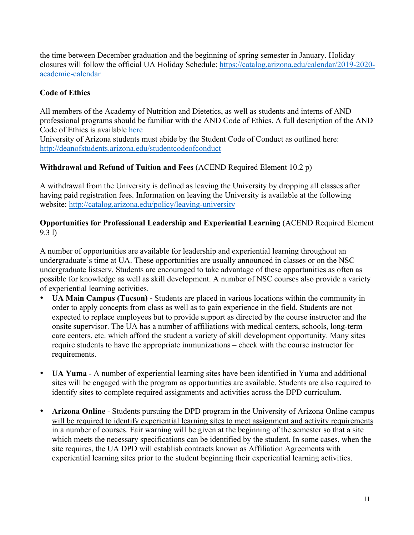the time between December graduation and the beginning of spring semester in January. Holiday closures will follow the official UA Holiday Schedule: https://catalog.arizona.edu/calendar/2019-2020 academic-calendar

# **Code of Ethics**

All members of the Academy of Nutrition and Dietetics, as well as students and interns of AND professional programs should be familiar with the AND Code of Ethics. A full description of the AND Code of Ethics is available here

University of Arizona students must abide by the Student Code of Conduct as outlined here: http://deanofstudents.arizona.edu/studentcodeofconduct

# **Withdrawal and Refund of Tuition and Fees** (ACEND Required Element 10.2 p)

A withdrawal from the University is defined as leaving the University by dropping all classes after having paid registration fees. Information on leaving the University is available at the following website: http://catalog.arizona.edu/policy/leaving-university

#### **Opportunities for Professional Leadership and Experiential Learning** (ACEND Required Element 9.3 l)

A number of opportunities are available for leadership and experiential learning throughout an undergraduate's time at UA. These opportunities are usually announced in classes or on the NSC undergraduate listserv. Students are encouraged to take advantage of these opportunities as often as possible for knowledge as well as skill development. A number of NSC courses also provide a variety of experiential learning activities.

- **UA Main Campus (Tucson) -** Students are placed in various locations within the community in order to apply concepts from class as well as to gain experience in the field. Students are not expected to replace employees but to provide support as directed by the course instructor and the onsite supervisor. The UA has a number of affiliations with medical centers, schools, long-term care centers, etc. which afford the student a variety of skill development opportunity. Many sites require students to have the appropriate immunizations – check with the course instructor for requirements.
- **UA Yuma** A number of experiential learning sites have been identified in Yuma and additional sites will be engaged with the program as opportunities are available. Students are also required to identify sites to complete required assignments and activities across the DPD curriculum.
- **Arizona Online** Students pursuing the DPD program in the University of Arizona Online campus will be required to identify experiential learning sites to meet assignment and activity requirements in a number of courses. Fair warning will be given at the beginning of the semester so that a site which meets the necessary specifications can be identified by the student. In some cases, when the site requires, the UA DPD will establish contracts known as Affiliation Agreements with experiential learning sites prior to the student beginning their experiential learning activities.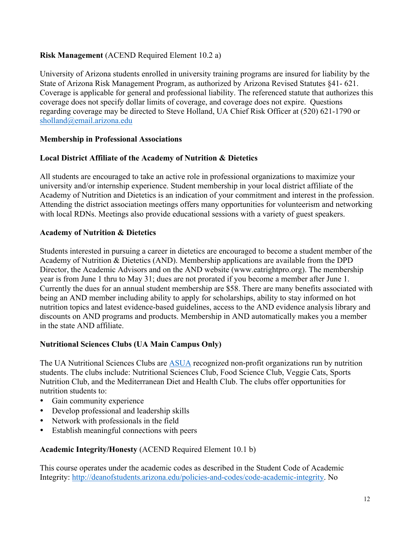# **Risk Management** (ACEND Required Element 10.2 a)

University of Arizona students enrolled in university training programs are insured for liability by the State of Arizona Risk Management Program, as authorized by Arizona Revised Statutes §41- 621. Coverage is applicable for general and professional liability. The referenced statute that authorizes this coverage does not specify dollar limits of coverage, and coverage does not expire. Questions regarding coverage may be directed to Steve Holland, UA Chief Risk Officer at (520) 621-1790 or sholland@email.arizona.edu

#### **Membership in Professional Associations**

#### **Local District Affiliate of the Academy of Nutrition & Dietetics**

All students are encouraged to take an active role in professional organizations to maximize your university and/or internship experience. Student membership in your local district affiliate of the Academy of Nutrition and Dietetics is an indication of your commitment and interest in the profession. Attending the district association meetings offers many opportunities for volunteerism and networking with local RDNs. Meetings also provide educational sessions with a variety of guest speakers.

# **Academy of Nutrition & Dietetics**

Students interested in pursuing a career in dietetics are encouraged to become a student member of the Academy of Nutrition & Dietetics (AND). Membership applications are available from the DPD Director, the Academic Advisors and on the AND website (www.eatrightpro.org). The membership year is from June 1 thru to May 31; dues are not prorated if you become a member after June 1. Currently the dues for an annual student membership are \$58. There are many benefits associated with being an AND member including ability to apply for scholarships, ability to stay informed on hot nutrition topics and latest evidence-based guidelines, access to the AND evidence analysis library and discounts on AND programs and products. Membership in AND automatically makes you a member in the state AND affiliate.

#### **Nutritional Sciences Clubs (UA Main Campus Only)**

The UA Nutritional Sciences Clubs are ASUA recognized non-profit organizations run by nutrition students. The clubs include: Nutritional Sciences Club, Food Science Club, Veggie Cats, Sports Nutrition Club, and the Mediterranean Diet and Health Club. The clubs offer opportunities for nutrition students to:

- Gain community experience
- Develop professional and leadership skills
- Network with professionals in the field
- Establish meaningful connections with peers

# **Academic Integrity/Honesty** (ACEND Required Element 10.1 b)

This course operates under the academic codes as described in the Student Code of Academic Integrity: http://deanofstudents.arizona.edu/policies-and-codes/code-academic-integrity. No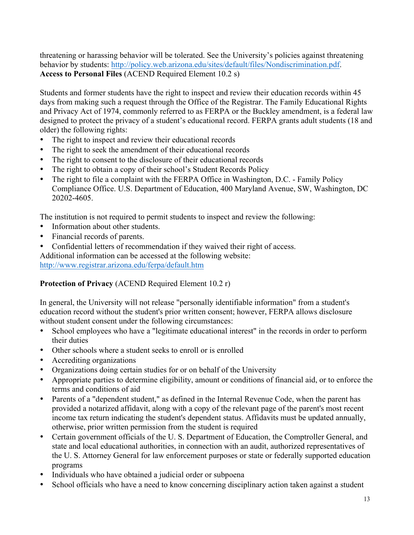threatening or harassing behavior will be tolerated. See the University's policies against threatening behavior by students: http://policy.web.arizona.edu/sites/default/files/Nondiscrimination.pdf. **Access to Personal Files** (ACEND Required Element 10.2 s)

Students and former students have the right to inspect and review their education records within 45 days from making such a request through the Office of the Registrar. The Family Educational Rights and Privacy Act of 1974, commonly referred to as FERPA or the Buckley amendment, is a federal law designed to protect the privacy of a student's educational record. FERPA grants adult students (18 and older) the following rights:

- The right to inspect and review their educational records
- The right to seek the amendment of their educational records
- The right to consent to the disclosure of their educational records
- The right to obtain a copy of their school's Student Records Policy
- The right to file a complaint with the FERPA Office in Washington, D.C. Family Policy Compliance Office. U.S. Department of Education, 400 Maryland Avenue, SW, Washington, DC 20202-4605.

The institution is not required to permit students to inspect and review the following:

- Information about other students.
- Financial records of parents.
- Confidential letters of recommendation if they waived their right of access.

Additional information can be accessed at the following website:

http://www.registrar.arizona.edu/ferpa/default.htm

#### **Protection of Privacy** (ACEND Required Element 10.2 r)

In general, the University will not release "personally identifiable information" from a student's education record without the student's prior written consent; however, FERPA allows disclosure without student consent under the following circumstances:

- School employees who have a "legitimate educational interest" in the records in order to perform their duties
- Other schools where a student seeks to enroll or is enrolled
- Accrediting organizations
- Organizations doing certain studies for or on behalf of the University
- Appropriate parties to determine eligibility, amount or conditions of financial aid, or to enforce the terms and conditions of aid
- Parents of a "dependent student," as defined in the Internal Revenue Code, when the parent has provided a notarized affidavit, along with a copy of the relevant page of the parent's most recent income tax return indicating the student's dependent status. Affidavits must be updated annually, otherwise, prior written permission from the student is required
- Certain government officials of the U. S. Department of Education, the Comptroller General, and state and local educational authorities, in connection with an audit, authorized representatives of the U. S. Attorney General for law enforcement purposes or state or federally supported education programs
- Individuals who have obtained a judicial order or subpoena
- School officials who have a need to know concerning disciplinary action taken against a student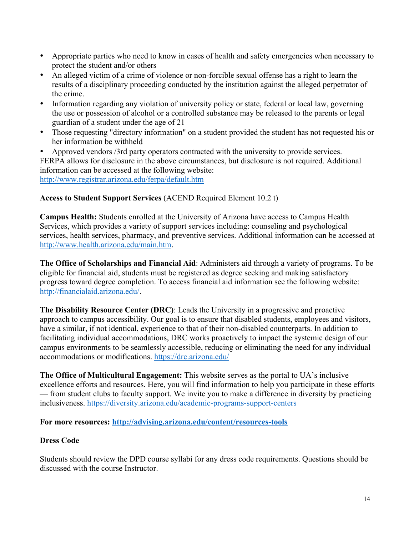- Appropriate parties who need to know in cases of health and safety emergencies when necessary to protect the student and/or others
- An alleged victim of a crime of violence or non-forcible sexual offense has a right to learn the results of a disciplinary proceeding conducted by the institution against the alleged perpetrator of the crime.
- Information regarding any violation of university policy or state, federal or local law, governing the use or possession of alcohol or a controlled substance may be released to the parents or legal guardian of a student under the age of 21
- Those requesting "directory information" on a student provided the student has not requested his or her information be withheld

• Approved vendors /3rd party operators contracted with the university to provide services. FERPA allows for disclosure in the above circumstances, but disclosure is not required. Additional information can be accessed at the following website: http://www.registrar.arizona.edu/ferpa/default.htm

**Access to Student Support Services** (ACEND Required Element 10.2 t)

**Campus Health:** Students enrolled at the University of Arizona have access to Campus Health Services, which provides a variety of support services including: counseling and psychological services, health services, pharmacy, and preventive services. Additional information can be accessed at http://www.health.arizona.edu/main.htm.

**The Office of Scholarships and Financial Aid**: Administers aid through a variety of programs. To be eligible for financial aid, students must be registered as degree seeking and making satisfactory progress toward degree completion. To access financial aid information see the following website: http://financialaid.arizona.edu/.

**The Disability Resource Center (DRC)**: Leads the University in a progressive and proactive approach to campus accessibility. Our goal is to ensure that disabled students, employees and visitors, have a similar, if not identical, experience to that of their non-disabled counterparts. In addition to facilitating individual accommodations, DRC works proactively to impact the systemic design of our campus environments to be seamlessly accessible, reducing or eliminating the need for any individual accommodations or modifications. https://drc.arizona.edu/

**The Office of Multicultural Engagement:** This website serves as the portal to UA's inclusive excellence efforts and resources. Here, you will find information to help you participate in these efforts — from student clubs to faculty support. We invite you to make a difference in diversity by practicing inclusiveness. https://diversity.arizona.edu/academic-programs-support-centers

**For more resources: http://advising.arizona.edu/content/resources-tools**

# **Dress Code**

Students should review the DPD course syllabi for any dress code requirements. Questions should be discussed with the course Instructor.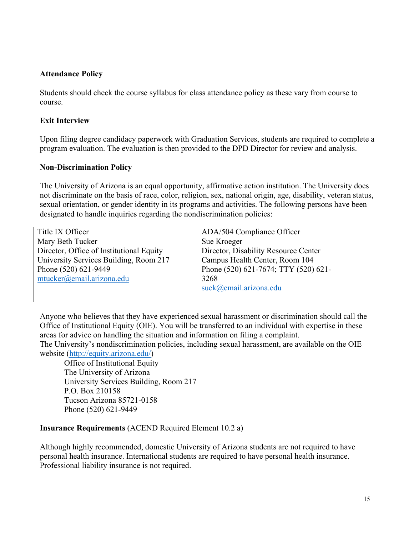#### **Attendance Policy**

Students should check the course syllabus for class attendance policy as these vary from course to course.

#### **Exit Interview**

Upon filing degree candidacy paperwork with Graduation Services, students are required to complete a program evaluation. The evaluation is then provided to the DPD Director for review and analysis.

#### **Non-Discrimination Policy**

The University of Arizona is an equal opportunity, affirmative action institution. The University does not discriminate on the basis of race, color, religion, sex, national origin, age, disability, veteran status, sexual orientation, or gender identity in its programs and activities. The following persons have been designated to handle inquiries regarding the nondiscrimination policies:

| Title IX Officer                         | ADA/504 Compliance Officer           |
|------------------------------------------|--------------------------------------|
| Mary Beth Tucker                         | Sue Kroeger                          |
| Director, Office of Institutional Equity | Director, Disability Resource Center |
| University Services Building, Room 217   | Campus Health Center, Room 104       |
| Phone (520) 621-9449                     | Phone (520) 621-7674; TTY (520) 621- |
| mtucker@email.arizona.edu                | 3268                                 |
|                                          | suek@email.arizona.edu               |
|                                          |                                      |

Anyone who believes that they have experienced sexual harassment or discrimination should call the Office of Institutional Equity (OIE). You will be transferred to an individual with expertise in these areas for advice on handling the situation and information on filing a complaint.

The University's nondiscrimination policies, including sexual harassment, are available on the OIE website (http://equity.arizona.edu/)

Office of Institutional Equity The University of Arizona University Services Building, Room 217 P.O. Box 210158 Tucson Arizona 85721-0158 Phone (520) 621-9449

#### **Insurance Requirements** (ACEND Required Element 10.2 a)

Although highly recommended, domestic University of Arizona students are not required to have personal health insurance. International students are required to have personal health insurance. Professional liability insurance is not required.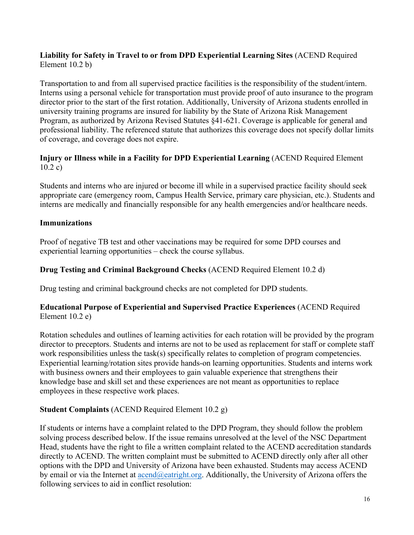# **Liability for Safety in Travel to or from DPD Experiential Learning Sites** (ACEND Required Element 10.2 b)

Transportation to and from all supervised practice facilities is the responsibility of the student/intern. Interns using a personal vehicle for transportation must provide proof of auto insurance to the program director prior to the start of the first rotation. Additionally, University of Arizona students enrolled in university training programs are insured for liability by the State of Arizona Risk Management Program, as authorized by Arizona Revised Statutes §41-621. Coverage is applicable for general and professional liability. The referenced statute that authorizes this coverage does not specify dollar limits of coverage, and coverage does not expire.

# **Injury or Illness while in a Facility for DPD Experiential Learning** (ACEND Required Element 10.2 c)

Students and interns who are injured or become ill while in a supervised practice facility should seek appropriate care (emergency room, Campus Health Service, primary care physician, etc.). Students and interns are medically and financially responsible for any health emergencies and/or healthcare needs.

# **Immunizations**

Proof of negative TB test and other vaccinations may be required for some DPD courses and experiential learning opportunities – check the course syllabus.

# **Drug Testing and Criminal Background Checks** (ACEND Required Element 10.2 d)

Drug testing and criminal background checks are not completed for DPD students.

#### **Educational Purpose of Experiential and Supervised Practice Experiences** (ACEND Required Element 10.2 e)

Rotation schedules and outlines of learning activities for each rotation will be provided by the program director to preceptors. Students and interns are not to be used as replacement for staff or complete staff work responsibilities unless the task(s) specifically relates to completion of program competencies. Experiential learning/rotation sites provide hands-on learning opportunities. Students and interns work with business owners and their employees to gain valuable experience that strengthens their knowledge base and skill set and these experiences are not meant as opportunities to replace employees in these respective work places.

# **Student Complaints** (ACEND Required Element 10.2 g)

If students or interns have a complaint related to the DPD Program, they should follow the problem solving process described below. If the issue remains unresolved at the level of the NSC Department Head, students have the right to file a written complaint related to the ACEND accreditation standards directly to ACEND. The written complaint must be submitted to ACEND directly only after all other options with the DPD and University of Arizona have been exhausted. Students may access ACEND by email or via the Internet at <u>acend@eatright.org</u>. Additionally, the University of Arizona offers the following services to aid in conflict resolution: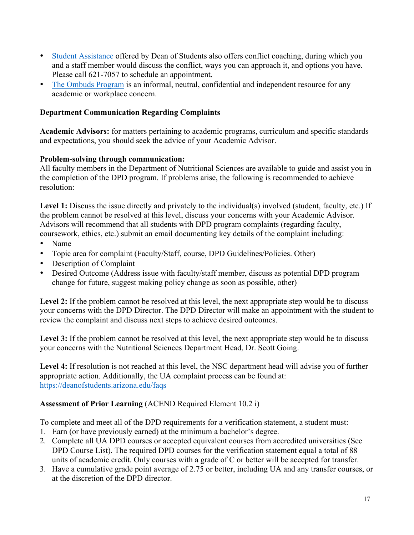- Student Assistance offered by Dean of Students also offers conflict coaching, during which you and a staff member would discuss the conflict, ways you can approach it, and options you have. Please call 621-7057 to schedule an appointment.
- The Ombuds Program is an informal, neutral, confidential and independent resource for any academic or workplace concern.

# **Department Communication Regarding Complaints**

**Academic Advisors:** for matters pertaining to academic programs, curriculum and specific standards and expectations, you should seek the advice of your Academic Advisor.

# **Problem-solving through communication:**

All faculty members in the Department of Nutritional Sciences are available to guide and assist you in the completion of the DPD program. If problems arise, the following is recommended to achieve resolution:

Level 1: Discuss the issue directly and privately to the individual(s) involved (student, faculty, etc.) If the problem cannot be resolved at this level, discuss your concerns with your Academic Advisor. Advisors will recommend that all students with DPD program complaints (regarding faculty, coursework, ethics, etc.) submit an email documenting key details of the complaint including:

- Name
- Topic area for complaint (Faculty/Staff, course, DPD Guidelines/Policies. Other)
- Description of Complaint
- Desired Outcome (Address issue with faculty/staff member, discuss as potential DPD program change for future, suggest making policy change as soon as possible, other)

Level 2: If the problem cannot be resolved at this level, the next appropriate step would be to discuss your concerns with the DPD Director. The DPD Director will make an appointment with the student to review the complaint and discuss next steps to achieve desired outcomes.

Level 3: If the problem cannot be resolved at this level, the next appropriate step would be to discuss your concerns with the Nutritional Sciences Department Head, Dr. Scott Going.

**Level 4:** If resolution is not reached at this level, the NSC department head will advise you of further appropriate action. Additionally, the UA complaint process can be found at: https://deanofstudents.arizona.edu/faqs

# **Assessment of Prior Learning** (ACEND Required Element 10.2 i)

To complete and meet all of the DPD requirements for a verification statement, a student must:

- 1. Earn (or have previously earned) at the minimum a bachelor's degree.
- 2. Complete all UA DPD courses or accepted equivalent courses from accredited universities (See DPD Course List). The required DPD courses for the verification statement equal a total of 88 units of academic credit. Only courses with a grade of C or better will be accepted for transfer.
- 3. Have a cumulative grade point average of 2.75 or better, including UA and any transfer courses, or at the discretion of the DPD director.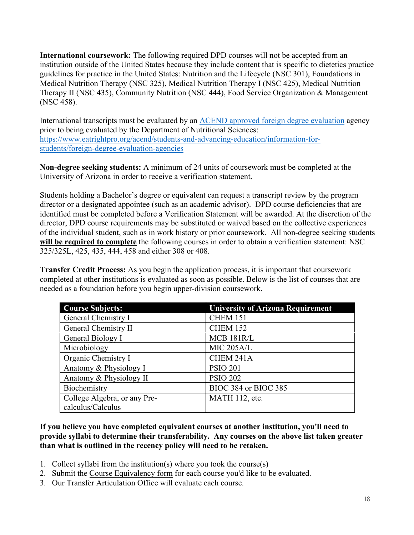**International coursework:** The following required DPD courses will not be accepted from an institution outside of the United States because they include content that is specific to dietetics practice guidelines for practice in the United States: Nutrition and the Lifecycle (NSC 301), Foundations in Medical Nutrition Therapy (NSC 325), Medical Nutrition Therapy I (NSC 425), Medical Nutrition Therapy II (NSC 435), Community Nutrition (NSC 444), Food Service Organization & Management (NSC 458).

International transcripts must be evaluated by an ACEND approved foreign degree evaluation agency prior to being evaluated by the Department of Nutritional Sciences: https://www.eatrightpro.org/acend/students-and-advancing-education/information-forstudents/foreign-degree-evaluation-agencies

**Non-degree seeking students:** A minimum of 24 units of coursework must be completed at the University of Arizona in order to receive a verification statement.

Students holding a Bachelor's degree or equivalent can request a transcript review by the program director or a designated appointee (such as an academic advisor). DPD course deficiencies that are identified must be completed before a Verification Statement will be awarded. At the discretion of the director, DPD course requirements may be substituted or waived based on the collective experiences of the individual student, such as in work history or prior coursework. All non-degree seeking students **will be required to complete** the following courses in order to obtain a verification statement: NSC 325/325L, 425, 435, 444, 458 and either 308 or 408.

**Transfer Credit Process:** As you begin the application process, it is important that coursework completed at other institutions is evaluated as soon as possible. Below is the list of courses that are needed as a foundation before you begin upper-division coursework.

| <b>Course Subjects:</b>      | <b>University of Arizona Requirement</b> |
|------------------------------|------------------------------------------|
| General Chemistry I          | <b>CHEM 151</b>                          |
| General Chemistry II         | <b>CHEM 152</b>                          |
| General Biology I            | <b>MCB 181R/L</b>                        |
| Microbiology                 | <b>MIC 205A/L</b>                        |
| Organic Chemistry I          | CHEM 241A                                |
| Anatomy & Physiology I       | <b>PSIO 201</b>                          |
| Anatomy & Physiology II      | <b>PSIO 202</b>                          |
| Biochemistry                 | BIOC 384 or BIOC 385                     |
| College Algebra, or any Pre- | MATH 112, etc.                           |
| calculus/Calculus            |                                          |

#### **If you believe you have completed equivalent courses at another institution, you'll need to provide syllabi to determine their transferability. Any courses on the above list taken greater than what is outlined in the recency policy will need to be retaken.**

- 1. Collect syllabi from the institution(s) where you took the course(s)
- 2. Submit the Course Equivalency form for each course you'd like to be evaluated.
- 3. Our Transfer Articulation Office will evaluate each course.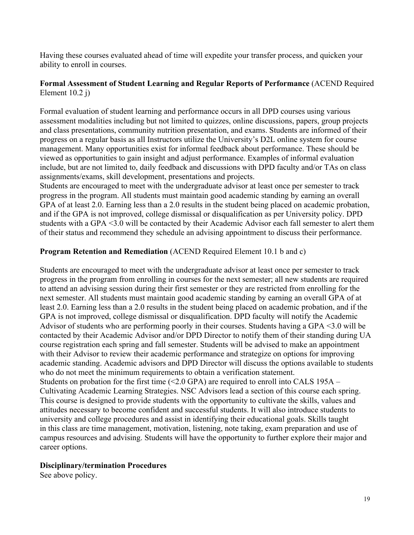Having these courses evaluated ahead of time will expedite your transfer process, and quicken your ability to enroll in courses.

#### **Formal Assessment of Student Learning and Regular Reports of Performance** (ACEND Required Element 10.2 j)

Formal evaluation of student learning and performance occurs in all DPD courses using various assessment modalities including but not limited to quizzes, online discussions, papers, group projects and class presentations, community nutrition presentation, and exams. Students are informed of their progress on a regular basis as all Instructors utilize the University's D2L online system for course management. Many opportunities exist for informal feedback about performance. These should be viewed as opportunities to gain insight and adjust performance. Examples of informal evaluation include, but are not limited to, daily feedback and discussions with DPD faculty and/or TAs on class assignments/exams, skill development, presentations and projects.

Students are encouraged to meet with the undergraduate advisor at least once per semester to track progress in the program. All students must maintain good academic standing by earning an overall GPA of at least 2.0. Earning less than a 2.0 results in the student being placed on academic probation, and if the GPA is not improved, college dismissal or disqualification as per University policy. DPD students with a GPA <3.0 will be contacted by their Academic Advisor each fall semester to alert them of their status and recommend they schedule an advising appointment to discuss their performance.

#### **Program Retention and Remediation** (ACEND Required Element 10.1 b and c)

Students are encouraged to meet with the undergraduate advisor at least once per semester to track progress in the program from enrolling in courses for the next semester; all new students are required to attend an advising session during their first semester or they are restricted from enrolling for the next semester. All students must maintain good academic standing by earning an overall GPA of at least 2.0. Earning less than a 2.0 results in the student being placed on academic probation, and if the GPA is not improved, college dismissal or disqualification. DPD faculty will notify the Academic Advisor of students who are performing poorly in their courses. Students having a GPA <3.0 will be contacted by their Academic Advisor and/or DPD Director to notify them of their standing during UA course registration each spring and fall semester. Students will be advised to make an appointment with their Advisor to review their academic performance and strategize on options for improving academic standing. Academic advisors and DPD Director will discuss the options available to students who do not meet the minimum requirements to obtain a verification statement. Students on probation for the first time  $(\leq 2.0 \text{ GPA})$  are required to enroll into CALS 195A – Cultivating Academic Learning Strategies. NSC Advisors lead a section of this course each spring. This course is designed to provide students with the opportunity to cultivate the skills, values and attitudes necessary to become confident and successful students. It will also introduce students to university and college procedures and assist in identifying their educational goals. Skills taught in this class are time management, motivation, listening, note taking, exam preparation and use of campus resources and advising. Students will have the opportunity to further explore their major and career options.

#### **Disciplinary/termination Procedures**

See above policy.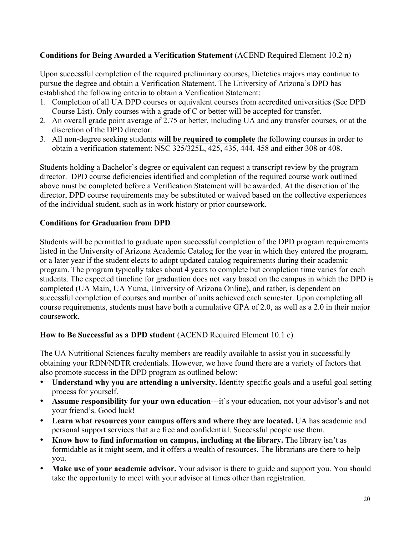# **Conditions for Being Awarded a Verification Statement** (ACEND Required Element 10.2 n)

Upon successful completion of the required preliminary courses, Dietetics majors may continue to pursue the degree and obtain a Verification Statement. The University of Arizona's DPD has established the following criteria to obtain a Verification Statement:

- 1. Completion of all UA DPD courses or equivalent courses from accredited universities (See DPD Course List). Only courses with a grade of C or better will be accepted for transfer.
- 2. An overall grade point average of 2.75 or better, including UA and any transfer courses, or at the discretion of the DPD director.
- 3. All non-degree seeking students **will be required to complete** the following courses in order to obtain a verification statement: NSC 325/325L, 425, 435, 444, 458 and either 308 or 408.

Students holding a Bachelor's degree or equivalent can request a transcript review by the program director. DPD course deficiencies identified and completion of the required course work outlined above must be completed before a Verification Statement will be awarded. At the discretion of the director, DPD course requirements may be substituted or waived based on the collective experiences of the individual student, such as in work history or prior coursework.

#### **Conditions for Graduation from DPD**

Students will be permitted to graduate upon successful completion of the DPD program requirements listed in the University of Arizona Academic Catalog for the year in which they entered the program, or a later year if the student elects to adopt updated catalog requirements during their academic program. The program typically takes about 4 years to complete but completion time varies for each students. The expected timeline for graduation does not vary based on the campus in which the DPD is completed (UA Main, UA Yuma, University of Arizona Online), and rather, is dependent on successful completion of courses and number of units achieved each semester. Upon completing all course requirements, students must have both a cumulative GPA of 2.0, as well as a 2.0 in their major coursework.

#### **How to Be Successful as a DPD student** (ACEND Required Element 10.1 c)

The UA Nutritional Sciences faculty members are readily available to assist you in successfully obtaining your RDN/NDTR credentials. However, we have found there are a variety of factors that also promote success in the DPD program as outlined below:

- **Understand why you are attending a university.** Identity specific goals and a useful goal setting process for yourself.
- **Assume responsibility for your own education**—-it's your education, not your advisor's and not your friend's. Good luck!
- **Learn what resources your campus offers and where they are located.** UA has academic and personal support services that are free and confidential. Successful people use them.
- **Know how to find information on campus, including at the library.** The library isn't as formidable as it might seem, and it offers a wealth of resources. The librarians are there to help you.
- **Make use of your academic advisor.** Your advisor is there to guide and support you. You should take the opportunity to meet with your advisor at times other than registration.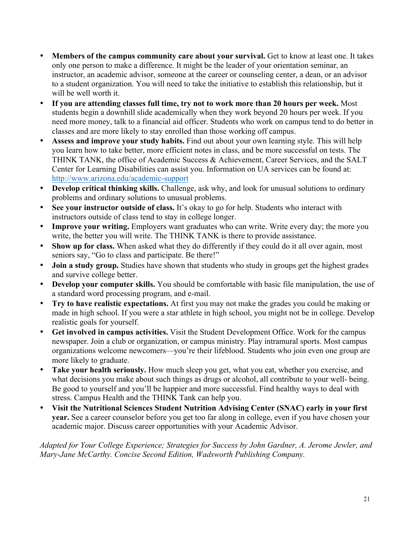- **Members of the campus community care about your survival.** Get to know at least one. It takes only one person to make a difference. It might be the leader of your orientation seminar, an instructor, an academic advisor, someone at the career or counseling center, a dean, or an advisor to a student organization. You will need to take the initiative to establish this relationship, but it will be well worth it.
- **If you are attending classes full time, try not to work more than 20 hours per week.** Most students begin a downhill slide academically when they work beyond 20 hours per week. If you need more money, talk to a financial aid officer. Students who work on campus tend to do better in classes and are more likely to stay enrolled than those working off campus.
- **Assess and improve your study habits.** Find out about your own learning style. This will help you learn how to take better, more efficient notes in class, and be more successful on tests. The THINK TANK, the office of Academic Success & Achievement, Career Services, and the SALT Center for Learning Disabilities can assist you. Information on UA services can be found at: http://www.arizona.edu/academic-support
- **Develop critical thinking skills.** Challenge, ask why, and look for unusual solutions to ordinary problems and ordinary solutions to unusual problems.
- **See your instructor outside of class.** It's okay to go for help. Students who interact with instructors outside of class tend to stay in college longer.
- **Improve your writing.** Employers want graduates who can write. Write every day; the more you write, the better you will write. The THINK TANK is there to provide assistance.
- **Show up for class.** When asked what they do differently if they could do it all over again, most seniors say, "Go to class and participate. Be there!"
- **Join a study group.** Studies have shown that students who study in groups get the highest grades and survive college better.
- **Develop your computer skills.** You should be comfortable with basic file manipulation, the use of a standard word processing program, and e-mail.
- **Try to have realistic expectations.** At first you may not make the grades you could be making or made in high school. If you were a star athlete in high school, you might not be in college. Develop realistic goals for yourself.
- **Get involved in campus activities.** Visit the Student Development Office. Work for the campus newspaper. Join a club or organization, or campus ministry. Play intramural sports. Most campus organizations welcome newcomers—you're their lifeblood. Students who join even one group are more likely to graduate.
- **Take your health seriously.** How much sleep you get, what you eat, whether you exercise, and what decisions you make about such things as drugs or alcohol, all contribute to your well- being. Be good to yourself and you'll be happier and more successful. Find healthy ways to deal with stress. Campus Health and the THINK Tank can help you.
- **Visit the Nutritional Sciences Student Nutrition Advising Center (SNAC) early in your first year.** See a career counselor before you get too far along in college, even if you have chosen your academic major. Discuss career opportunities with your Academic Advisor.

*Adapted for Your College Experience; Strategies for Success by John Gardner, A. Jerome Jewler, and Mary-Jane McCarthy. Concise Second Edition, Wadsworth Publishing Company.*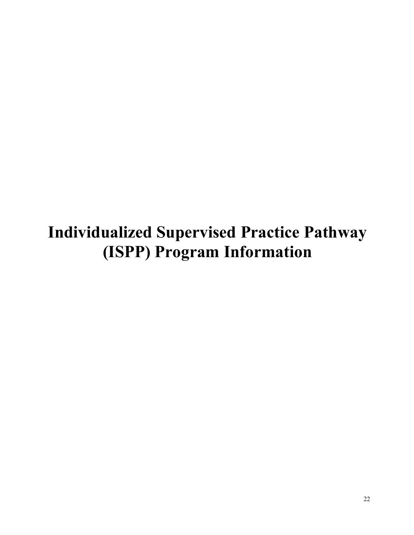**Individualized Supervised Practice Pathway (ISPP) Program Information**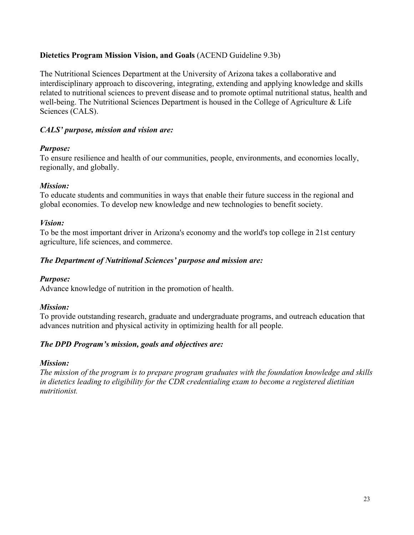# **Dietetics Program Mission Vision, and Goals** (ACEND Guideline 9.3b)

The Nutritional Sciences Department at the University of Arizona takes a collaborative and interdisciplinary approach to discovering, integrating, extending and applying knowledge and skills related to nutritional sciences to prevent disease and to promote optimal nutritional status, health and well-being. The Nutritional Sciences Department is housed in the College of Agriculture & Life Sciences (CALS).

# *CALS' purpose, mission and vision are:*

# *Purpose:*

To ensure resilience and health of our communities, people, environments, and economies locally, regionally, and globally.

#### *Mission:*

To educate students and communities in ways that enable their future success in the regional and global economies. To develop new knowledge and new technologies to benefit society.

#### *Vision:*

To be the most important driver in Arizona's economy and the world's top college in 21st century agriculture, life sciences, and commerce.

# *The Department of Nutritional Sciences' purpose and mission are:*

#### *Purpose:*

Advance knowledge of nutrition in the promotion of health.

#### *Mission:*

To provide outstanding research, graduate and undergraduate programs, and outreach education that advances nutrition and physical activity in optimizing health for all people.

#### *The DPD Program's mission, goals and objectives are:*

#### *Mission:*

*The mission of the program is to prepare program graduates with the foundation knowledge and skills in dietetics leading to eligibility for the CDR credentialing exam to become a registered dietitian nutritionist.*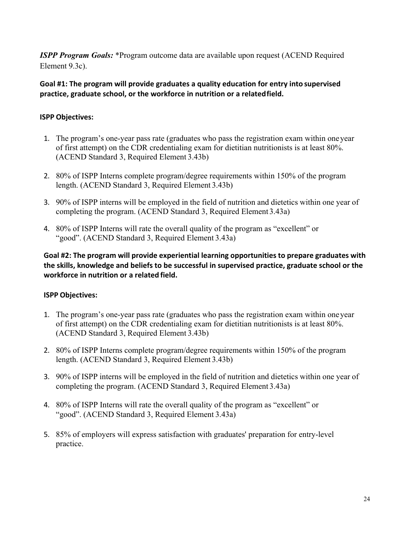*ISPP Program Goals:* \*Program outcome data are available upon request (ACEND Required Element 9.3c).

#### Goal #1: The program will provide graduates a quality education for entry into supervised practice, graduate school, or the workforce in nutrition or a related field.

#### **ISPP Objectives:**

- 1. The program's one-year pass rate (graduates who pass the registration exam within oneyear of first attempt) on the CDR credentialing exam for dietitian nutritionists is at least 80%. (ACEND Standard 3, Required Element 3.43b)
- 2. 80% of ISPP Interns complete program/degree requirements within 150% of the program length. (ACEND Standard 3, Required Element 3.43b)
- 3. 90% of ISPP interns will be employed in the field of nutrition and dietetics within one year of completing the program. (ACEND Standard 3, Required Element 3.43a)
- 4. 80% of ISPP Interns will rate the overall quality of the program as "excellent" or "good". (ACEND Standard 3, Required Element 3.43a)

**Goal #2: The program will provide experiential learning opportunities to prepare graduates with**  the skills, knowledge and beliefs to be successful in supervised practice, graduate school or the **workforce** in nutrition or a related field.

#### **ISPP Objectives:**

- 1. The program's one-year pass rate (graduates who pass the registration exam within oneyear of first attempt) on the CDR credentialing exam for dietitian nutritionists is at least 80%. (ACEND Standard 3, Required Element 3.43b)
- 2. 80% of ISPP Interns complete program/degree requirements within 150% of the program length. (ACEND Standard 3, Required Element 3.43b)
- 3. 90% of ISPP interns will be employed in the field of nutrition and dietetics within one year of completing the program. (ACEND Standard 3, Required Element 3.43a)
- 4. 80% of ISPP Interns will rate the overall quality of the program as "excellent" or "good". (ACEND Standard 3, Required Element 3.43a)
- 5. 85% of employers will express satisfaction with graduates' preparation for entry-level practice.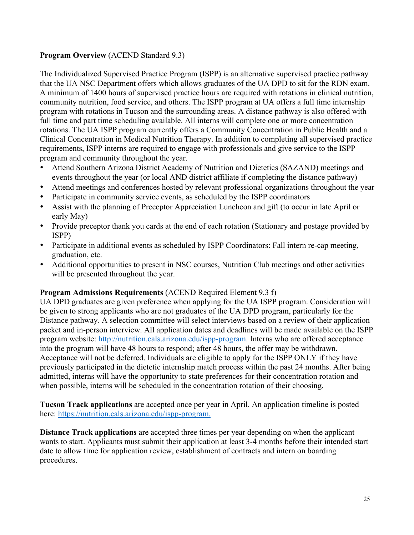# **Program Overview** (ACEND Standard 9.3)

The Individualized Supervised Practice Program (ISPP) is an alternative supervised practice pathway that the UA NSC Department offers which allows graduates of the UA DPD to sit for the RDN exam. A minimum of 1400 hours of supervised practice hours are required with rotations in clinical nutrition, community nutrition, food service, and others. The ISPP program at UA offers a full time internship program with rotations in Tucson and the surrounding areas. A distance pathway is also offered with full time and part time scheduling available. All interns will complete one or more concentration rotations. The UA ISPP program currently offers a Community Concentration in Public Health and a Clinical Concentration in Medical Nutrition Therapy. In addition to completing all supervised practice requirements, ISPP interns are required to engage with professionals and give service to the ISPP program and community throughout the year.

- Attend Southern Arizona District Academy of Nutrition and Dietetics (SAZAND) meetings and events throughout the year (or local AND district affiliate if completing the distance pathway)
- Attend meetings and conferences hosted by relevant professional organizations throughout the year
- Participate in community service events, as scheduled by the ISPP coordinators
- Assist with the planning of Preceptor Appreciation Luncheon and gift (to occur in late April or early May)
- Provide preceptor thank you cards at the end of each rotation (Stationary and postage provided by ISPP)
- Participate in additional events as scheduled by ISPP Coordinators: Fall intern re-cap meeting, graduation, etc.
- Additional opportunities to present in NSC courses, Nutrition Club meetings and other activities will be presented throughout the year.

#### **Program Admissions Requirements** (ACEND Required Element 9.3 f)

UA DPD graduates are given preference when applying for the UA ISPP program. Consideration will be given to strong applicants who are not graduates of the UA DPD program, particularly for the Distance pathway. A selection committee will select interviews based on a review of their application packet and in-person interview. All application dates and deadlines will be made available on the ISPP program website: http://nutrition.cals.arizona.edu/ispp-program. Interns who are offered acceptance into the program will have 48 hours to respond; after 48 hours, the offer may be withdrawn. Acceptance will not be deferred. Individuals are eligible to apply for the ISPP ONLY if they have previously participated in the dietetic internship match process within the past 24 months. After being admitted, interns will have the opportunity to state preferences for their concentration rotation and when possible, interns will be scheduled in the concentration rotation of their choosing.

**Tucson Track applications** are accepted once per year in April. An application timeline is posted here: https://nutrition.cals.arizona.edu/ispp-program.

**Distance Track applications** are accepted three times per year depending on when the applicant wants to start. Applicants must submit their application at least 3-4 months before their intended start date to allow time for application review, establishment of contracts and intern on boarding procedures.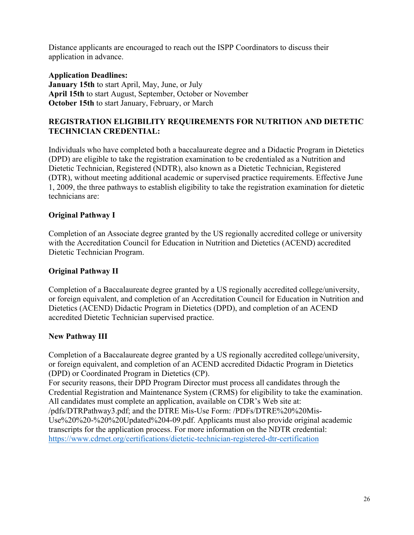Distance applicants are encouraged to reach out the ISPP Coordinators to discuss their application in advance.

#### **Application Deadlines:**

**January 15th** to start April, May, June, or July **April 15th** to start August, September, October or November **October 15th** to start January, February, or March

#### **REGISTRATION ELIGIBILITY REQUIREMENTS FOR NUTRITION AND DIETETIC TECHNICIAN CREDENTIAL:**

Individuals who have completed both a baccalaureate degree and a Didactic Program in Dietetics (DPD) are eligible to take the registration examination to be credentialed as a Nutrition and Dietetic Technician, Registered (NDTR), also known as a Dietetic Technician, Registered (DTR), without meeting additional academic or supervised practice requirements. Effective June 1, 2009, the three pathways to establish eligibility to take the registration examination for dietetic technicians are:

#### **Original Pathway I**

Completion of an Associate degree granted by the US regionally accredited college or university with the Accreditation Council for Education in Nutrition and Dietetics (ACEND) accredited Dietetic Technician Program.

#### **Original Pathway II**

Completion of a Baccalaureate degree granted by a US regionally accredited college/university, or foreign equivalent, and completion of an Accreditation Council for Education in Nutrition and Dietetics (ACEND) Didactic Program in Dietetics (DPD), and completion of an ACEND accredited Dietetic Technician supervised practice.

#### **New Pathway III**

Completion of a Baccalaureate degree granted by a US regionally accredited college/university, or foreign equivalent, and completion of an ACEND accredited Didactic Program in Dietetics (DPD) or Coordinated Program in Dietetics (CP).

For security reasons, their DPD Program Director must process all candidates through the Credential Registration and Maintenance System (CRMS) for eligibility to take the examination. All candidates must complete an application, available on CDR's Web site at:

/pdfs/DTRPathway3.pdf; and the DTRE Mis-Use Form: /PDFs/DTRE%20%20Mis-Use%20%20-%20%20Updated%204-09.pdf. Applicants must also provide original academic transcripts for the application process. For more information on the NDTR credential: https://www.cdrnet.org/certifications/dietetic-technician-registered-dtr-certification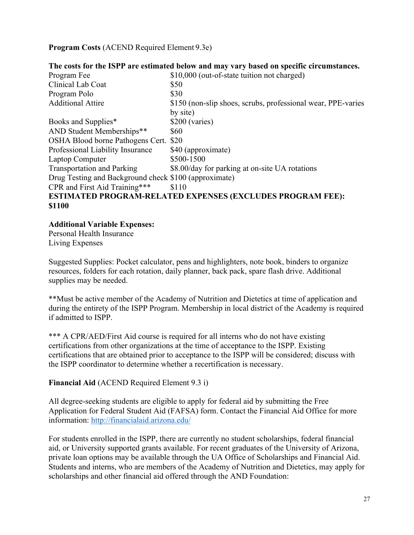**Program Costs** (ACEND Required Element 9.3e)

|                                                       | The costs for the ISPP are estimated below and may vary based on specific circumstances. |
|-------------------------------------------------------|------------------------------------------------------------------------------------------|
| Program Fee                                           | \$10,000 (out-of-state tuition not charged)                                              |
| Clinical Lab Coat                                     | \$50                                                                                     |
| Program Polo                                          | \$30                                                                                     |
| <b>Additional Attire</b>                              | \$150 (non-slip shoes, scrubs, professional wear, PPE-varies                             |
|                                                       | by site)                                                                                 |
| Books and Supplies*                                   | \$200 (varies)                                                                           |
| AND Student Memberships**                             | \$60                                                                                     |
| OSHA Blood borne Pathogens Cert.                      | \$20                                                                                     |
| Professional Liability Insurance                      | \$40 (approximate)                                                                       |
| Laptop Computer                                       | \$500-1500                                                                               |
| <b>Transportation and Parking</b>                     | \$8.00/day for parking at on-site UA rotations                                           |
| Drug Testing and Background check \$100 (approximate) |                                                                                          |
| CPR and First Aid Training***                         | \$110                                                                                    |
|                                                       | <b>ESTIMATED PROGRAM-RELATED EXPENSES (EXCLUDES PROGRAM FEE):</b>                        |
| \$1100                                                |                                                                                          |

#### **Additional Variable Expenses:**

Personal Health Insurance Living Expenses

Suggested Supplies: Pocket calculator, pens and highlighters, note book, binders to organize resources, folders for each rotation, daily planner, back pack, spare flash drive. Additional supplies may be needed.

\*\*Must be active member of the Academy of Nutrition and Dietetics at time of application and during the entirety of the ISPP Program. Membership in local district of the Academy is required if admitted to ISPP.

\*\*\* A CPR/AED/First Aid course is required for all interns who do not have existing certifications from other organizations at the time of acceptance to the ISPP. Existing certifications that are obtained prior to acceptance to the ISPP will be considered; discuss with the ISPP coordinator to determine whether a recertification is necessary.

# **Financial Aid** (ACEND Required Element 9.3 i)

All degree-seeking students are eligible to apply for federal aid by submitting the Free Application for Federal Student Aid (FAFSA) form. Contact the Financial Aid Office for more information: http://financialaid.arizona.edu/

For students enrolled in the ISPP, there are currently no student scholarships, federal financial aid, or University supported grants available. For recent graduates of the University of Arizona, private loan options may be available through the UA Office of Scholarships and Financial Aid. Students and interns, who are members of the Academy of Nutrition and Dietetics, may apply for scholarships and other financial aid offered through the AND Foundation: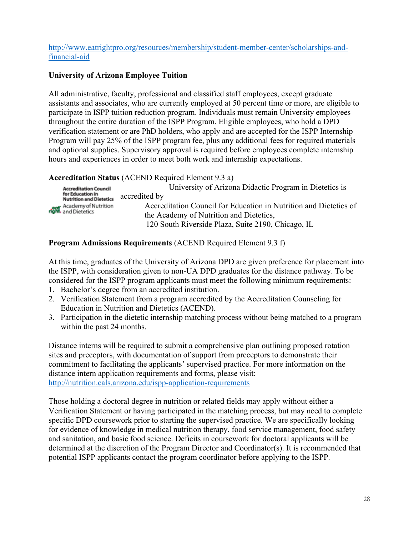#### http://www.eatrightpro.org/resources/membership/student-member-center/scholarships-andfinancial-aid

# **University of Arizona Employee Tuition**

All administrative, faculty, professional and classified staff employees, except graduate assistants and associates, who are currently employed at 50 percent time or more, are eligible to participate in ISPP tuition reduction program. Individuals must remain University employees throughout the entire duration of the ISPP Program. Eligible employees, who hold a DPD verification statement or are PhD holders, who apply and are accepted for the ISPP Internship Program will pay 25% of the ISPP program fee, plus any additional fees for required materials and optional supplies. Supervisory approval is required before employees complete internship hours and experiences in order to meet both work and internship expectations.

# **Accreditation Status** (ACEND Required Element 9.3 a)

|                             | <b>Accreditation Council</b>                       | University of Arizona Didactic Program in Dietetics is            |
|-----------------------------|----------------------------------------------------|-------------------------------------------------------------------|
|                             | for Education in<br><b>Nutrition and Dietetics</b> | accredited by                                                     |
| right. Academy of Nutrition |                                                    | Accreditation Council for Education in Nutrition and Dietetics of |
|                             | the Academy of Nutrition and Dietetics,            |                                                                   |
|                             |                                                    | 120 South Riverside Plaza, Suite 2190, Chicago, IL                |

# **Program Admissions Requirements** (ACEND Required Element 9.3 f)

At this time, graduates of the University of Arizona DPD are given preference for placement into the ISPP, with consideration given to non-UA DPD graduates for the distance pathway. To be considered for the ISPP program applicants must meet the following minimum requirements:

- 1. Bachelor's degree from an accredited institution.
- 2. Verification Statement from a program accredited by the Accreditation Counseling for Education in Nutrition and Dietetics (ACEND).
- 3. Participation in the dietetic internship matching process without being matched to a program within the past 24 months.

Distance interns will be required to submit a comprehensive plan outlining proposed rotation sites and preceptors, with documentation of support from preceptors to demonstrate their commitment to facilitating the applicants' supervised practice. For more information on the distance intern application requirements and forms, please visit: http://nutrition.cals.arizona.edu/ispp-application-requirements

Those holding a doctoral degree in nutrition or related fields may apply without either a Verification Statement or having participated in the matching process, but may need to complete specific DPD coursework prior to starting the supervised practice. We are specifically looking for evidence of knowledge in medical nutrition therapy, food service management, food safety and sanitation, and basic food science. Deficits in coursework for doctoral applicants will be determined at the discretion of the Program Director and Coordinator(s). It is recommended that potential ISPP applicants contact the program coordinator before applying to the ISPP.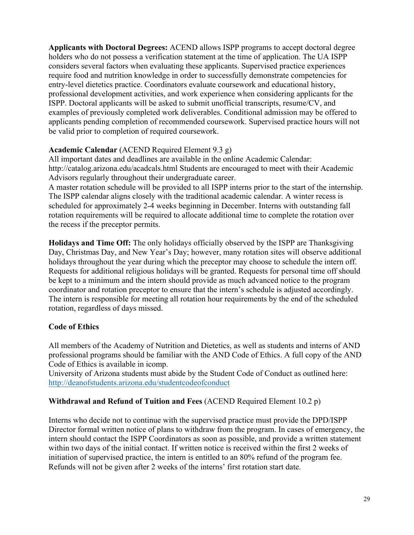**Applicants with Doctoral Degrees:** ACEND allows ISPP programs to accept doctoral degree holders who do not possess a verification statement at the time of application. The UA ISPP considers several factors when evaluating these applicants. Supervised practice experiences require food and nutrition knowledge in order to successfully demonstrate competencies for entry-level dietetics practice. Coordinators evaluate coursework and educational history, professional development activities, and work experience when considering applicants for the ISPP. Doctoral applicants will be asked to submit unofficial transcripts, resume/CV, and examples of previously completed work deliverables. Conditional admission may be offered to applicants pending completion of recommended coursework. Supervised practice hours will not be valid prior to completion of required coursework.

# **Academic Calendar** (ACEND Required Element 9.3 g)

All important dates and deadlines are available in the online Academic Calendar: http://catalog.arizona.edu/acadcals.html Students are encouraged to meet with their Academic Advisors regularly throughout their undergraduate career.

A master rotation schedule will be provided to all ISPP interns prior to the start of the internship. The ISPP calendar aligns closely with the traditional academic calendar. A winter recess is scheduled for approximately 2-4 weeks beginning in December. Interns with outstanding fall rotation requirements will be required to allocate additional time to complete the rotation over the recess if the preceptor permits.

**Holidays and Time Off:** The only holidays officially observed by the ISPP are Thanksgiving Day, Christmas Day, and New Year's Day; however, many rotation sites will observe additional holidays throughout the year during which the preceptor may choose to schedule the intern off. Requests for additional religious holidays will be granted. Requests for personal time off should be kept to a minimum and the intern should provide as much advanced notice to the program coordinator and rotation preceptor to ensure that the intern's schedule is adjusted accordingly. The intern is responsible for meeting all rotation hour requirements by the end of the scheduled rotation, regardless of days missed.

# **Code of Ethics**

All members of the Academy of Nutrition and Dietetics, as well as students and interns of AND professional programs should be familiar with the AND Code of Ethics. A full copy of the AND Code of Ethics is available in icomp.

University of Arizona students must abide by the Student Code of Conduct as outlined here: http://deanofstudents.arizona.edu/studentcodeofconduct

#### **Withdrawal and Refund of Tuition and Fees** (ACEND Required Element 10.2 p)

Interns who decide not to continue with the supervised practice must provide the DPD/ISPP Director formal written notice of plans to withdraw from the program. In cases of emergency, the intern should contact the ISPP Coordinators as soon as possible, and provide a written statement within two days of the initial contact. If written notice is received within the first 2 weeks of initiation of supervised practice, the intern is entitled to an 80% refund of the program fee. Refunds will not be given after 2 weeks of the interns' first rotation start date.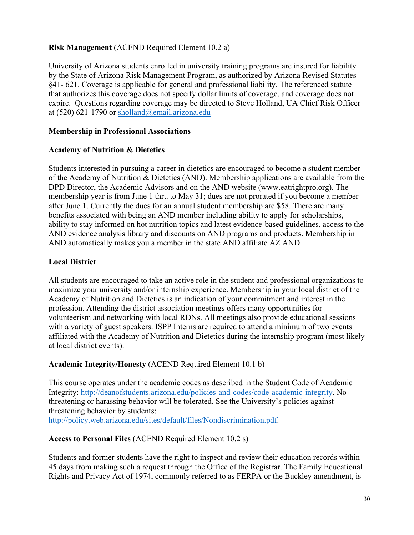# **Risk Management** (ACEND Required Element 10.2 a)

University of Arizona students enrolled in university training programs are insured for liability by the State of Arizona Risk Management Program, as authorized by Arizona Revised Statutes §41- 621. Coverage is applicable for general and professional liability. The referenced statute that authorizes this coverage does not specify dollar limits of coverage, and coverage does not expire. Questions regarding coverage may be directed to Steve Holland, UA Chief Risk Officer at (520) 621-1790 or sholland@email.arizona.edu

# **Membership in Professional Associations**

#### **Academy of Nutrition & Dietetics**

Students interested in pursuing a career in dietetics are encouraged to become a student member of the Academy of Nutrition & Dietetics (AND). Membership applications are available from the DPD Director, the Academic Advisors and on the AND website (www.eatrightpro.org). The membership year is from June 1 thru to May 31; dues are not prorated if you become a member after June 1. Currently the dues for an annual student membership are \$58. There are many benefits associated with being an AND member including ability to apply for scholarships, ability to stay informed on hot nutrition topics and latest evidence-based guidelines, access to the AND evidence analysis library and discounts on AND programs and products. Membership in AND automatically makes you a member in the state AND affiliate AZ AND.

# **Local District**

All students are encouraged to take an active role in the student and professional organizations to maximize your university and/or internship experience. Membership in your local district of the Academy of Nutrition and Dietetics is an indication of your commitment and interest in the profession. Attending the district association meetings offers many opportunities for volunteerism and networking with local RDNs. All meetings also provide educational sessions with a variety of guest speakers. ISPP Interns are required to attend a minimum of two events affiliated with the Academy of Nutrition and Dietetics during the internship program (most likely at local district events).

#### **Academic Integrity/Honesty** (ACEND Required Element 10.1 b)

This course operates under the academic codes as described in the Student Code of Academic Integrity: http://deanofstudents.arizona.edu/policies-and-codes/code-academic-integrity. No threatening or harassing behavior will be tolerated. See the University's policies against threatening behavior by students: http://policy.web.arizona.edu/sites/default/files/Nondiscrimination.pdf.

#### **Access to Personal Files** (ACEND Required Element 10.2 s)

Students and former students have the right to inspect and review their education records within 45 days from making such a request through the Office of the Registrar. The Family Educational Rights and Privacy Act of 1974, commonly referred to as FERPA or the Buckley amendment, is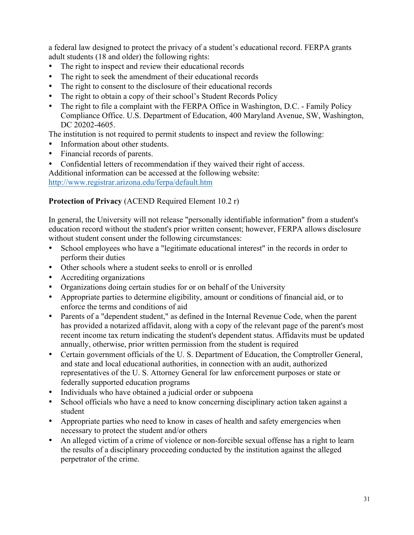a federal law designed to protect the privacy of a student's educational record. FERPA grants adult students (18 and older) the following rights:

- The right to inspect and review their educational records
- The right to seek the amendment of their educational records
- The right to consent to the disclosure of their educational records
- The right to obtain a copy of their school's Student Records Policy
- The right to file a complaint with the FERPA Office in Washington, D.C. Family Policy Compliance Office. U.S. Department of Education, 400 Maryland Avenue, SW, Washington, DC 20202-4605.

The institution is not required to permit students to inspect and review the following:

- Information about other students.
- Financial records of parents.
- Confidential letters of recommendation if they waived their right of access.

Additional information can be accessed at the following website:

http://www.registrar.arizona.edu/ferpa/default.htm

# **Protection of Privacy** (ACEND Required Element 10.2 r)

In general, the University will not release "personally identifiable information" from a student's education record without the student's prior written consent; however, FERPA allows disclosure without student consent under the following circumstances:

- School employees who have a "legitimate educational interest" in the records in order to perform their duties
- Other schools where a student seeks to enroll or is enrolled
- Accrediting organizations
- Organizations doing certain studies for or on behalf of the University
- Appropriate parties to determine eligibility, amount or conditions of financial aid, or to enforce the terms and conditions of aid
- Parents of a "dependent student," as defined in the Internal Revenue Code, when the parent has provided a notarized affidavit, along with a copy of the relevant page of the parent's most recent income tax return indicating the student's dependent status. Affidavits must be updated annually, otherwise, prior written permission from the student is required
- Certain government officials of the U. S. Department of Education, the Comptroller General, and state and local educational authorities, in connection with an audit, authorized representatives of the U. S. Attorney General for law enforcement purposes or state or federally supported education programs
- Individuals who have obtained a judicial order or subpoena
- School officials who have a need to know concerning disciplinary action taken against a student
- Appropriate parties who need to know in cases of health and safety emergencies when necessary to protect the student and/or others
- An alleged victim of a crime of violence or non-forcible sexual offense has a right to learn the results of a disciplinary proceeding conducted by the institution against the alleged perpetrator of the crime.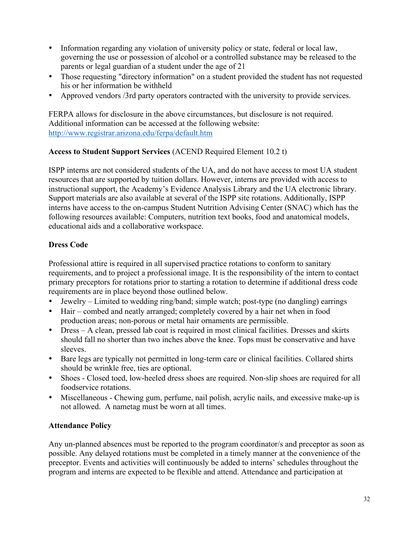- Information regarding any violation of university policy or state, federal or local law, governing the use or possession of alcohol or a controlled substance may be released to the parents or legal guardian of a student under the age of 21
- Those requesting "directory information" on a student provided the student has not requested his or her information be withheld
- Approved vendors /3rd party operators contracted with the university to provide services.

FERPA allows for disclosure in the above circumstances, but disclosure is not required. Additional information can be accessed at the following website: http://www.registrar.arizona.edu/ferpa/default.htm

# **Access to Student Support Services** (ACEND Required Element 10.2 t)

ISPP interns are not considered students of the UA, and do not have access to most UA student resources that are supported by tuition dollars. However, interns are provided with access to instructional support, the Academy's Evidence Analysis Library and the UA electronic library. Support materials are also available at several of the ISPP site rotations. Additionally, ISPP interns have access to the on-campus Student Nutrition Advising Center (SNAC) which has the following resources available: Computers, nutrition text books, food and anatomical models, educational aids and a collaborative workspace.

# **Dress Code**

Professional attire is required in all supervised practice rotations to conform to sanitary requirements, and to project a professional image. It is the responsibility of the intern to contact primary preceptors for rotations prior to starting a rotation to determine if additional dress code requirements are in place beyond those outlined below.

- Jewelry Limited to wedding ring/band; simple watch; post-type (no dangling) earrings
- Hair combed and neatly arranged; completely covered by a hair net when in food production areas; non-porous or metal hair ornaments are permissible.
- Dress A clean, pressed lab coat is required in most clinical facilities. Dresses and skirts should fall no shorter than two inches above the knee. Tops must be conservative and have sleeves.
- Bare legs are typically not permitted in long-term care or clinical facilities. Collared shirts should be wrinkle free, ties are optional.
- Shoes Closed toed, low-heeled dress shoes are required. Non-slip shoes are required for all foodservice rotations.
- Miscellaneous Chewing gum, perfume, nail polish, acrylic nails, and excessive make-up is not allowed. A nametag must be worn at all times.

#### **Attendance Policy**

Any un-planned absences must be reported to the program coordinator/s and preceptor as soon as possible. Any delayed rotations must be completed in a timely manner at the convenience of the preceptor. Events and activities will continuously be added to interns' schedules throughout the program and interns are expected to be flexible and attend. Attendance and participation at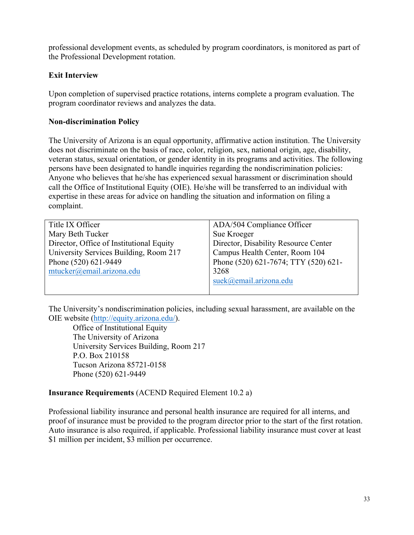professional development events, as scheduled by program coordinators, is monitored as part of the Professional Development rotation.

#### **Exit Interview**

Upon completion of supervised practice rotations, interns complete a program evaluation. The program coordinator reviews and analyzes the data.

#### **Non-discrimination Policy**

The University of Arizona is an equal opportunity, affirmative action institution. The University does not discriminate on the basis of race, color, religion, sex, national origin, age, disability, veteran status, sexual orientation, or gender identity in its programs and activities. The following persons have been designated to handle inquiries regarding the nondiscrimination policies: Anyone who believes that he/she has experienced sexual harassment or discrimination should call the Office of Institutional Equity (OIE). He/she will be transferred to an individual with expertise in these areas for advice on handling the situation and information on filing a complaint.

| Title IX Officer                         | ADA/504 Compliance Officer           |
|------------------------------------------|--------------------------------------|
| Mary Beth Tucker                         | Sue Kroeger                          |
| Director, Office of Institutional Equity | Director, Disability Resource Center |
| University Services Building, Room 217   | Campus Health Center, Room 104       |
| Phone (520) 621-9449                     | Phone (520) 621-7674; TTY (520) 621- |
| mtucker@email.arizona.edu                | 3268                                 |
|                                          | suek@email.arizona.edu               |
|                                          |                                      |

The University's nondiscrimination policies, including sexual harassment, are available on the OIE website (http://equity.arizona.edu/).

Office of Institutional Equity The University of Arizona University Services Building, Room 217 P.O. Box 210158 Tucson Arizona 85721-0158 Phone (520) 621-9449

#### **Insurance Requirements** (ACEND Required Element 10.2 a)

Professional liability insurance and personal health insurance are required for all interns, and proof of insurance must be provided to the program director prior to the start of the first rotation. Auto insurance is also required, if applicable. Professional liability insurance must cover at least \$1 million per incident, \$3 million per occurrence.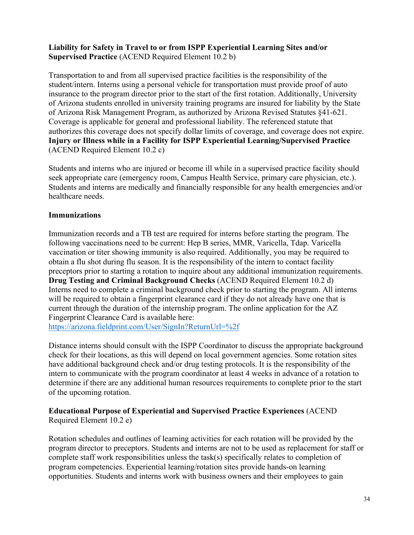#### **Liability for Safety in Travel to or from ISPP Experiential Learning Sites and/or Supervised Practice** (ACEND Required Element 10.2 b)

Transportation to and from all supervised practice facilities is the responsibility of the student/intern. Interns using a personal vehicle for transportation must provide proof of auto insurance to the program director prior to the start of the first rotation. Additionally, University of Arizona students enrolled in university training programs are insured for liability by the State of Arizona Risk Management Program, as authorized by Arizona Revised Statutes §41-621. Coverage is applicable for general and professional liability. The referenced statute that authorizes this coverage does not specify dollar limits of coverage, and coverage does not expire. **Injury or Illness while in a Facility for ISPP Experiential Learning/Supervised Practice** (ACEND Required Element 10.2 c)

Students and interns who are injured or become ill while in a supervised practice facility should seek appropriate care (emergency room, Campus Health Service, primary care physician, etc.). Students and interns are medically and financially responsible for any health emergencies and/or healthcare needs.

#### **Immunizations**

Immunization records and a TB test are required for interns before starting the program. The following vaccinations need to be current: Hep B series, MMR, Varicella, Tdap. Varicella vaccination or titer showing immunity is also required. Additionally, you may be required to obtain a flu shot during flu season. It is the responsibility of the intern to contact facility preceptors prior to starting a rotation to inquire about any additional immunization requirements. **Drug Testing and Criminal Background Checks** (ACEND Required Element 10.2 d) Interns need to complete a criminal background check prior to starting the program. All interns will be required to obtain a fingerprint clearance card if they do not already have one that is current through the duration of the internship program. The online application for the AZ Fingerprint Clearance Card is available here:

https://arizona.fieldprint.com/User/SignIn?ReturnUrl=%2f

Distance interns should consult with the ISPP Coordinator to discuss the appropriate background check for their locations, as this will depend on local government agencies. Some rotation sites have additional background check and/or drug testing protocols. It is the responsibility of the intern to communicate with the program coordinator at least 4 weeks in advance of a rotation to determine if there are any additional human resources requirements to complete prior to the start of the upcoming rotation.

#### **Educational Purpose of Experiential and Supervised Practice Experiences** (ACEND Required Element 10.2 e)

Rotation schedules and outlines of learning activities for each rotation will be provided by the program director to preceptors. Students and interns are not to be used as replacement for staff or complete staff work responsibilities unless the task(s) specifically relates to completion of program competencies. Experiential learning/rotation sites provide hands-on learning opportunities. Students and interns work with business owners and their employees to gain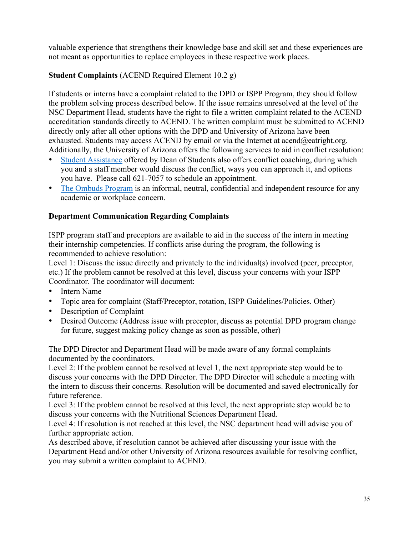valuable experience that strengthens their knowledge base and skill set and these experiences are not meant as opportunities to replace employees in these respective work places.

# **Student Complaints** (ACEND Required Element 10.2 g)

If students or interns have a complaint related to the DPD or ISPP Program, they should follow the problem solving process described below. If the issue remains unresolved at the level of the NSC Department Head, students have the right to file a written complaint related to the ACEND accreditation standards directly to ACEND. The written complaint must be submitted to ACEND directly only after all other options with the DPD and University of Arizona have been exhausted. Students may access ACEND by email or via the Internet at acend $@$ eatright.org. Additionally, the University of Arizona offers the following services to aid in conflict resolution:

- Student Assistance offered by Dean of Students also offers conflict coaching, during which you and a staff member would discuss the conflict, ways you can approach it, and options you have. Please call 621-7057 to schedule an appointment.
- The Ombuds Program is an informal, neutral, confidential and independent resource for any academic or workplace concern.

#### **Department Communication Regarding Complaints**

ISPP program staff and preceptors are available to aid in the success of the intern in meeting their internship competencies. If conflicts arise during the program, the following is recommended to achieve resolution:

Level 1: Discuss the issue directly and privately to the individual(s) involved (peer, preceptor, etc.) If the problem cannot be resolved at this level, discuss your concerns with your ISPP Coordinator. The coordinator will document:

- Intern Name
- Topic area for complaint (Staff/Preceptor, rotation, ISPP Guidelines/Policies. Other)
- Description of Complaint
- Desired Outcome (Address issue with preceptor, discuss as potential DPD program change for future, suggest making policy change as soon as possible, other)

The DPD Director and Department Head will be made aware of any formal complaints documented by the coordinators.

Level 2: If the problem cannot be resolved at level 1, the next appropriate step would be to discuss your concerns with the DPD Director. The DPD Director will schedule a meeting with the intern to discuss their concerns. Resolution will be documented and saved electronically for future reference.

Level 3: If the problem cannot be resolved at this level, the next appropriate step would be to discuss your concerns with the Nutritional Sciences Department Head.

Level 4: If resolution is not reached at this level, the NSC department head will advise you of further appropriate action.

As described above, if resolution cannot be achieved after discussing your issue with the Department Head and/or other University of Arizona resources available for resolving conflict, you may submit a written complaint to ACEND.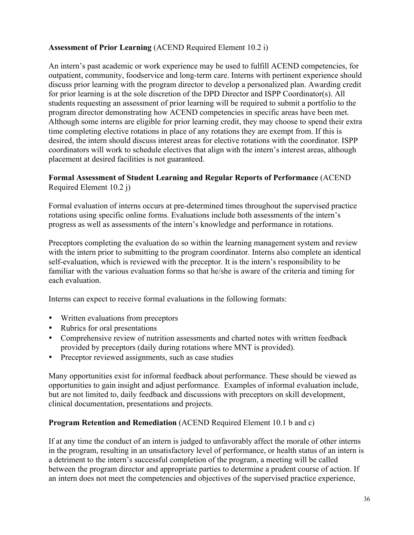# **Assessment of Prior Learning** (ACEND Required Element 10.2 i)

An intern's past academic or work experience may be used to fulfill ACEND competencies, for outpatient, community, foodservice and long-term care. Interns with pertinent experience should discuss prior learning with the program director to develop a personalized plan. Awarding credit for prior learning is at the sole discretion of the DPD Director and ISPP Coordinator(s). All students requesting an assessment of prior learning will be required to submit a portfolio to the program director demonstrating how ACEND competencies in specific areas have been met. Although some interns are eligible for prior learning credit, they may choose to spend their extra time completing elective rotations in place of any rotations they are exempt from. If this is desired, the intern should discuss interest areas for elective rotations with the coordinator. ISPP coordinators will work to schedule electives that align with the intern's interest areas, although placement at desired facilities is not guaranteed.

# **Formal Assessment of Student Learning and Regular Reports of Performance** (ACEND Required Element 10.2 j)

Formal evaluation of interns occurs at pre-determined times throughout the supervised practice rotations using specific online forms. Evaluations include both assessments of the intern's progress as well as assessments of the intern's knowledge and performance in rotations.

Preceptors completing the evaluation do so within the learning management system and review with the intern prior to submitting to the program coordinator. Interns also complete an identical self-evaluation, which is reviewed with the preceptor. It is the intern's responsibility to be familiar with the various evaluation forms so that he/she is aware of the criteria and timing for each evaluation.

Interns can expect to receive formal evaluations in the following formats:

- Written evaluations from preceptors
- Rubrics for oral presentations
- Comprehensive review of nutrition assessments and charted notes with written feedback provided by preceptors (daily during rotations where MNT is provided).
- Preceptor reviewed assignments, such as case studies

Many opportunities exist for informal feedback about performance. These should be viewed as opportunities to gain insight and adjust performance. Examples of informal evaluation include, but are not limited to, daily feedback and discussions with preceptors on skill development, clinical documentation, presentations and projects.

#### **Program Retention and Remediation** (ACEND Required Element 10.1 b and c)

If at any time the conduct of an intern is judged to unfavorably affect the morale of other interns in the program, resulting in an unsatisfactory level of performance, or health status of an intern is a detriment to the intern's successful completion of the program, a meeting will be called between the program director and appropriate parties to determine a prudent course of action. If an intern does not meet the competencies and objectives of the supervised practice experience,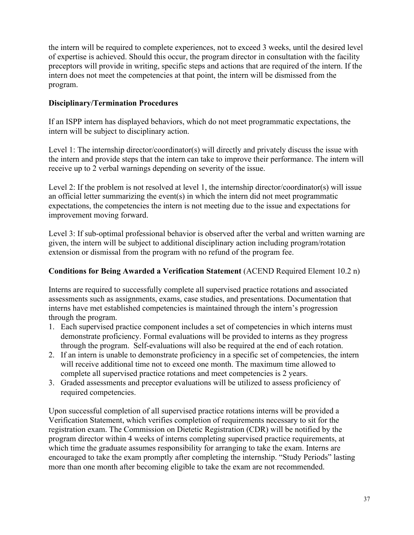the intern will be required to complete experiences, not to exceed 3 weeks, until the desired level of expertise is achieved. Should this occur, the program director in consultation with the facility preceptors will provide in writing, specific steps and actions that are required of the intern. If the intern does not meet the competencies at that point, the intern will be dismissed from the program.

#### **Disciplinary/Termination Procedures**

If an ISPP intern has displayed behaviors, which do not meet programmatic expectations, the intern will be subject to disciplinary action.

Level 1: The internship director/coordinator(s) will directly and privately discuss the issue with the intern and provide steps that the intern can take to improve their performance. The intern will receive up to 2 verbal warnings depending on severity of the issue.

Level 2: If the problem is not resolved at level 1, the internship director/coordinator(s) will issue an official letter summarizing the event(s) in which the intern did not meet programmatic expectations, the competencies the intern is not meeting due to the issue and expectations for improvement moving forward.

Level 3: If sub-optimal professional behavior is observed after the verbal and written warning are given, the intern will be subject to additional disciplinary action including program/rotation extension or dismissal from the program with no refund of the program fee.

# **Conditions for Being Awarded a Verification Statement** (ACEND Required Element 10.2 n)

Interns are required to successfully complete all supervised practice rotations and associated assessments such as assignments, exams, case studies, and presentations. Documentation that interns have met established competencies is maintained through the intern's progression through the program.

- 1. Each supervised practice component includes a set of competencies in which interns must demonstrate proficiency. Formal evaluations will be provided to interns as they progress through the program. Self-evaluations will also be required at the end of each rotation.
- 2. If an intern is unable to demonstrate proficiency in a specific set of competencies, the intern will receive additional time not to exceed one month. The maximum time allowed to complete all supervised practice rotations and meet competencies is 2 years.
- 3. Graded assessments and preceptor evaluations will be utilized to assess proficiency of required competencies.

Upon successful completion of all supervised practice rotations interns will be provided a Verification Statement, which verifies completion of requirements necessary to sit for the registration exam. The Commission on Dietetic Registration (CDR) will be notified by the program director within 4 weeks of interns completing supervised practice requirements, at which time the graduate assumes responsibility for arranging to take the exam. Interns are encouraged to take the exam promptly after completing the internship. "Study Periods" lasting more than one month after becoming eligible to take the exam are not recommended.